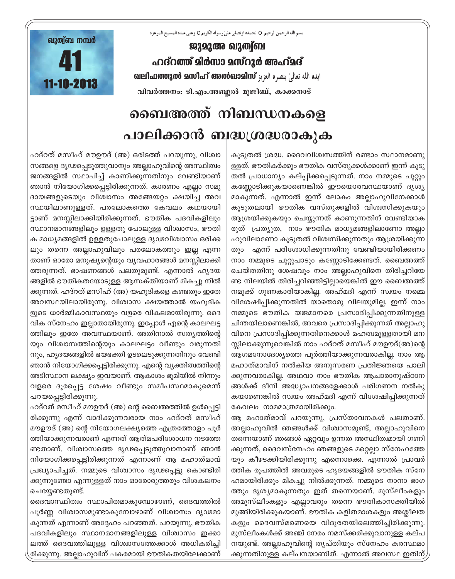بسم الله الرحمن الرحيم O نحمده اونصلي علىٰ رسوله الكريم O وعلىٰ عبده المسيح الموعود

ജുമുഅ ഖുത്വ്ബ ഹദ്റത്ത് മിർസാ മസ്റൂർ അഹ്മദ് வലிഫത്തുൽ മസിഹ് അൽഖാമിസ് بنصره العزيز வലിഫത്തുൽ മസിഹ് അൽഖാമിസ് വിവർത്തനം: ടി.എം.അബ്ദുൽ മുജീബ്, കാക്കനാട്



## ബൈഅത്ത് നിബന്ധനകളെ പാലിക്കാൻ ബദ്ധശ്രദ്ധരാകുക

കുടുതൽ ശ്രദ്ധ. ദൈവവിശ്വസത്തിന് രണ്ടാം സ്ഥാനമാണു ള്ളത്. ഭൗതികർക്കും ഭൗതിക വസ്തുക്കൾക്കാണ് ഇന്ന് കൂടു തൽ പ്രാധാന്യം കല്പ്പിക്കപ്പെടുന്നത്. നാം നമ്മുടെ ചുറ്റും കണ്ണോടിക്കുകയാണെങ്കിൽ ഈയൊരവസ്ഥയാണ് ദൃശൃ മാകുന്നത്. എന്നാൽ ഇന്ന് ലോകം അല്ലാഹുവിനേക്കാൾ കൂടുതലായി ഭൗതിക വസ്തുക്കളിൽ വിശ്വസിക്കുകയും ആശ്രയിക്കുകയും ചെയ്യുന്നത് കാണുന്നതിന് വേണ്ടിയാക രുത് പ്രത്യുത, നാം ഭൗതിക മാധ്യമങ്ങളിലാണോ അല്ലാ ഹുവിലാണോ കൂടുതൽ വിശ്വസിക്കുന്നതും ആശ്രയിക്കുന്ന തും എന്ന് പരിശോധിക്കുന്നതിനു വേണ്ടിയായിരിക്കണം നാം നമ്മുടെ ചുറ്റുപാടും കണ്ണോടിക്കേണ്ടത്. ബൈഅത്ത് ചെയ്തതിനു ശേഷവും നാം അല്ലാഹുവിനെ തിരിച്ചറിയേ ണ്ട നിലയിൽ തിരിച്ചറിഞ്ഞിട്ടില്ലായെങ്കിൽ ഈ ബൈഅത്ത് നമുക്ക് ഗുണകാരിയാകില്ല. അഹ്മദി എന്ന് സ്വയം നമ്മെ വിശേഷിപ്പിക്കുന്നതിൽ യാതൊരു വിലയുമില്ല. ഇന്ന് നാം നമ്മുടെ ഭൗതിക യജമാനരെ പ്രസാദിപ്പിക്കുന്നതിനുള്ള ചിന്തയിലാണെങ്കിൽ, അവരെ പ്രസാദിപ്പിക്കുന്നത് അല്ലാഹു വിനെ പ്രസാദിപ്പിക്കുന്നതിനെക്കാൾ മഹത്വമുള്ളതായി മന സ്സിലാക്കുന്നുവെങ്കിൽ നാം ഹദ്റത് മസീഹ് മൗഊദ്(അ)ന്റെ ആഗമനോദേശ്യത്തെ പൂർത്തിയാക്കുന്നവരാകില്ല. നാം ആ മഹാത്മാവിന് നൽകിയ അനുസരണ പ്രതിജ്ഞയെ പാലി ക്കുന്നവരാകില്ല. അഥവാ നാം ഭൗതിക ആചാരാനുഷ്ഠാന ങ്ങൾക്ക് ദീനി അദ്ധ്യാപനങ്ങളേക്കാൾ പരിഗണന നൽകു കയാണെങ്കിൽ സ്വയം അഹ്മദി എന്ന് വിശേഷിപ്പിക്കുന്നത് കേവലം നാമമാത്രമായിരിക്കും.

ആ മഹാത്മാവ് പറയുന്നു, പ്രസ്താവനകൾ പലതാണ്. അല്ലാഹുവിൽ ഞങ്ങൾക്ക് വിശ്വാസമുണ്ട്, അല്ലാഹുവിനെ തന്നെയാണ് ഞങ്ങൾ ഏറ്റവും ഉന്നത അസ്ഥിത്വമായി ഗണി ക്കുന്നത്, ദൈവസ്നേഹം ഞങ്ങളുടെ മറ്റെല്ലാ സ്നേഹത്തേ യും കീഴടക്കിയിരിക്കുന്നു എന്നൊക്കെ. എന്നാൽ പ്രാവർ ത്തിക രൂപത്തിൽ അവരുടെ ഹൃദയങ്ങളിൽ ഭൗതിക സ്നേ ഹമായിരിക്കും മികച്ചു നിൽക്കുന്നത്. നമ്മുടെ നാനാ ഭാഗ ത്തും ദൃശ്യമാകുന്നതും ഇത് തന്നെയാണ്. മുസ്ലീംകളും അമുസ്ലീംകളും എല്ലാവരും തന്നെ ഭൗതികാസക്തിയിൽ മുങ്ങിയിരിക്കുകയാണ്. ഭൗതിക കളിതമാശകളും അശ്ലീലത കളും ദൈവസ്മരണയെ വിദൂരതയിലെത്തിച്ചിരിക്കുന്നു. മുസ്ലീംകൾക്ക് അഞ്ച് നേരം നമസ്ക്കരിക്കുവാനുള്ള കല്പ നയുണ്ട്. അല്ലാഹുവിന്റെ തൃപ്തിയും സ്നേഹം കരസ്ഥമാ ക്കുന്നതിനുള്ള കല്പനയാണിത്. എന്നാൽ അവസ്ഥ ഇതിന്

ഹദ്റത് മസീഹ് മൗഊദ് (അ) ഒരിടത്ത് പറയുന്നു, വിശ്വാ സങ്ങളെ ദൃഢപ്പെടുത്തുവാനും അല്ലാഹുവിന്റെ അസ്ഥിത്വം ജനങ്ങളിൽ സ്ഥാപിച്ച് കാണിക്കുന്നതിനും വേണ്ടിയാണ് ഞാൻ നിയോഗിക്കപ്പെട്ടിരിക്കുന്നത്. കാരണം എല്ലാ സമു ദായങ്ങളുടെയും വിശ്വാസം അങ്ങേയറ്റം ക്ഷയിച്ച അവ സ്ഥയിലാണുള്ളത്. പരലോകത്തെ കേവലം കഥയായി ട്ടാണ് മനസ്സിലാക്കിയിരിക്കുന്നത്. ഭൗതിക പദവികളിലും സ്ഥാനമാനങ്ങളിലും ഉള്ളതു പോലുള്ള വിശ്വാസം, ഭൗതി ക മാധ്യമങ്ങളിൽ ഉള്ളതുപോലുള്ള ദൃഢവിശ്വാസം ഒരിക്ക ലും തന്നെ അല്ലാഹുവിലും പരലോകത്തും ഇല്ല എന്ന താണ് ഓരോ മനുഷ്യന്റെയും വ്യവഹാരങ്ങൾ മനസ്സിലാക്കി ത്തരുന്നത്. ഭാഷണങ്ങൾ പലതുമുണ്ട്. എന്നാൽ ഹൃദയ ങ്ങളിൽ ഭൗതികതയോടുള്ള ആസക്തിയാണ് മികച്ചു നിൽ ക്കുന്നത്. ഹദ്റത് മസീഹ് (അ) യഹൂദികളെ കണ്ടതും ഇതേ അവസ്ഥയിലായിരുന്നു. വിശ്വാസ ക്ഷയത്താൽ യഹൂദിക ളുടെ ധാർമ്മികാവസ്ഥയും വളരെ വികലമായിരുന്നു. ദൈ വിക സ്നേഹം ഇല്ലാതായിരുന്നു. ഇപ്പോൾ എന്റെ കാലഘട്ട ത്തിലും ഇതേ അവസ്ഥയാണ്. അതിനാൽ സത്യത്തിന്റെ യും വിശ്വാസത്തിന്റെയും കാലഘട്ടം വീണ്ടും വരുന്നതി നും, ഹൃദയങ്ങളിൽ ഭയഭക്തി ഉടലെടുക്കുന്നതിനും വേണ്ടി ഞാൻ നിയോഗിക്കപ്പെട്ടിരിക്കുന്നു. എന്റെ വ്യക്തിത്വത്തിന്റെ അടിസ്ഥാന ലക്ഷ്യം ഇവയാണ്. ആകാശം ഭൂമിയിൽ നിന്നും വളരെ ദൂരപ്പെട്ട ശേഷം വീണ്ടും സമീപസ്ഥമാകുമെന്ന് പറയപ്പെട്ടിരിക്കുന്നു.

ഹദ്റത് മസീഹ് മൗഊദ് (അ) ന്റെ ബൈഅത്തിൽ ഉൾപ്പെട്ടി രിക്കുന്നു എന്ന് വാദിക്കുന്നവരായ നാം ഹദ്റത് മസീഹ് മൗഊദ് (അ) ന്റെ നിയോഗലക്ഷ്യത്തെ എത്രത്തോളം പൂർ ത്തിയാക്കുന്നവരാണ് എന്നത് ആത്മപരിശോധന നടത്തേ ണ്ടതാണ്. വിശ്വാസത്തെ ദൃഢപ്പെടുത്തുവാനാണ് ഞാൻ നിയോഗിക്കപ്പെട്ടിരിക്കുന്നത് എന്നാണ് ആ മഹാത്മാവ് പ്രഖ്യാപിച്ചത്. നമ്മുടെ വിശ്വാസം ദൃഢപ്പെട്ടു കൊണ്ടിരി ക്കുന്നുണ്ടോ എന്നുള്ളത് നാം ഓരോരുത്തരും വിശകലനം ചെയ്യേണ്ടതുണ്ട്.

ദൈവാസ്ഥിത്വം സ്ഥാപിതമാകുമ്പോഴാണ്, ദൈവത്തിൽ പൂർണ്ണ വിശ്വാസമുണ്ടാകുമ്പോഴാണ് വിശ്വാസം ദൃഢമാ കുന്നത് എന്നാണ് അദ്ദേഹം പറഞ്ഞത്. പറയുന്നു, ഭൗതിക പദവികളിലും സ്ഥാനമാനങ്ങളിലുള്ള വിശ്വാസം ഇക്കാ ലത്ത് ദൈവത്തിലുള്ള വിശ്വാസത്തേക്കാൾ അധികരിച്ചി രിക്കുന്നു. അല്ലാഹുവിന് പകരമായി ഭൗതികതയിലേക്കാണ്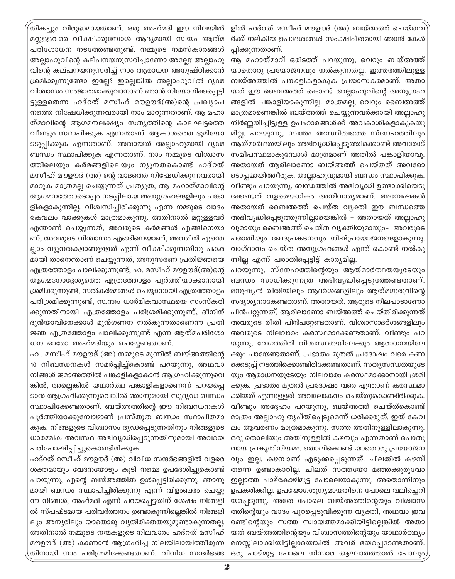തികച്ചും വിരുദ്ധമായതാണ്. ഒരു അഹ്മദി ഈ നിലയിൽ മറ്റുള്ളവരെ വീക്ഷിക്കുമ്പോൾ ആദ്യമായി സ്വയം ആത്മ പരിശോധന നടത്തേണ്ടതുണ്ട്. നമ്മുടെ നമസ്കാരങ്ങൾ അല്ലാഹുവിന്റെ കല്പനയനുസരിച്ചാണോ അല്ലേ? അല്ലാഹു വിന്റെ കല്പനയനുസരിച്ച് നാം ആരാധന അനുഷ്ഠിക്കാൻ ശ്രമിക്കുന്നുണ്ടോ ഇല്ലേ? ഇല്ലെങ്കിൽ അല്ലാഹുവിൽ ദൃഢ വിശ്വാസം സംജാതമാക്കുവാനാണ് ഞാൻ നിയോഗിക്കപ്പെട്ടി ട്ടുള്ളതെന്ന ഹദ്റത് മസീഹ് മൗഊദ്(അ)ന്റെ പ്രഖ്യാപ നത്തെ നിഷേധിക്കുന്നവരായി നാം മാറുന്നതാണ്. ആ മഹാ ത്മാവിന്റെ ആഗമനലക്ഷ്യം സത്യത്തിന്റെ കാലഘട്ടത്തെ വീണ്ടും സ്ഥാപിക്കുക എന്നതാണ്. ആകാശത്തെ ഭൂമിയോ ടടുപ്പിക്കുക എന്നതാണ്. അതായത് അല്ലാഹുമായി ദൃഢ ബന്ധം സ്ഥാപിക്കുക എന്നതാണ്. നാം നമ്മുടെ വിശ്വാസ ത്തിലെയും കർമങ്ങളിലെയും ന്യുനതകൊണ്ട് ഹദ്റത് മസീഹ് മൗഊദ് (അ) ന്റെ വാദത്തെ നിഷേധിക്കുന്നവരായി മാറുക മാത്രമല്ല ചെയ്യുന്നത് പ്രത്യുത, ആ മഹാത്മാവിന്റെ ആഗമനത്തോടൊപ്പം നടപ്പിലായ അനുഗ്രഹങ്ങളിലും പങ്കാ ളികളാകുന്നില്ല. വിശ്വസിച്ചിരിക്കുന്നു എന്ന നമ്മുടെ വാദം കേവലം വാക്കുകൾ മാത്രമാകുന്നു. അതിനാൽ മറ്റുള്ളവർ എന്താണ് ചെയ്യുന്നത്, അവരുടെ കർമങ്ങൾ എങ്ങിനെയാ ണ്, അവരുടെ വിശ്വാസം എങ്ങിനെയാണ്, അവരിൽ എന്തെ ല്ലാം ന്യൂനതകളാണുള്ളത് എന്ന് വീക്ഷിക്കുന്നതിനു പകര മായി താനെന്താണ് ചെയ്യുന്നത്, അനുസരണ പ്രതിജ്ഞയെ എത്രത്തോളം പാലിക്കുന്നുണ്ട്, ഹ. മസീഹ് മൗഊദ്(അ)ന്റെ ആഗമനോദ്ദേശ്യത്തെ എത്രത്തോളം പൂർത്തിയാക്കാനായി ശ്രമിക്കുന്നുണ്ട്, സൽകർമ്മങ്ങൾ ചെയ്യാനായി എത്രത്തോളം പരിശ്രമിക്കുന്നുണ്ട്, സ്വന്തം ധാർമികവാസ്ഥയെ സംസ്കരി ക്കുന്നതിനായി എത്രത്തോളം പരിശ്രമിക്കുന്നുണ്ട്, ദീനിന് ദുൻയാവിനേക്കാൾ മുൻഗണന നൽകുന്നതാണെന്ന പ്രതി ജ്ഞ എത്രത്തോളം പാലിക്കുന്നുണ്ട് എന്ന ആത്മപരിശോ ധന ഓരോ അഹ്മദിയും ചെയ്യേണ്ടതാണ്.

ഹ : മസീഹ് മൗഊദ് (അ) നമ്മുടെ മുന്നിൽ ബയ്അത്തിന്റെ 10 നിബന്ധനകൾ സമർപ്പിച്ച്കൊണ്ട് പറയുന്നു, അഥവാ നിങ്ങൾ ജമാഅത്തിൽ പങ്കാളികളാകാൻ ആഗ്രഹിക്കുന്നുവെ ങ്കിൽ, അല്ലെങ്കിൽ യഥാർത്ഥ പങ്കാളികളാണെന്ന് പറയപ്പെ ടാൻ ആഗ്രഹിക്കുന്നുവെങ്കിൽ ഞാനുമായി സുദൃഢ ബന്ധം സ്ഥാപിക്കേണ്ടതാണ്. ബയ്അത്തിന്റെ ഈ നിബന്ധനകൾ പൂർത്തിയാക്കുമ്പോഴാണ് പ്രസ്തുത ബന്ധം സ്ഥാപിതമാ കുക. നിങ്ങളുടെ വിശ്വാസം ദൃഢപ്പെടുന്നതിനും നിങ്ങളുടെ ധാർമ്മിക അവസ്ഥ അഭിവൃദ്ധിപ്പെടുന്നതിനുമായി അവയെ പരിപോഷിപ്പിച്ചുകൊണ്ടിരിക്കുക.

ഹദ്റത് മസീഹ് മൗഊദ് (അ) വിവിധ സന്ദർഭങ്ങളിൽ വളരെ ശക്തമായും വേദനയോടും കുടി നമ്മെ ഉപദേശിച്ചുകൊണ്ട് പറയുന്നു, എന്റെ ബയ്അത്തിൽ ഉൾപ്പെട്ടിരിക്കുന്നു, ഞാനു മായി ബന്ധം സ്ഥാപിച്ചിരിക്കുന്നു എന്ന് വിളംബരം ചെയ്യു ന്ന നിങ്ങൾ, അഹ്മദി എന്ന് പറയപ്പെട്ടതിന് ശേഷം നിങ്ങളി ൽ സ്പഷ്ടമായ പരിവർത്തനം ഉണ്ടാകുന്നില്ലെങ്കിൽ നിങ്ങളി ലും അന്യരിലും യാതൊരു വ്യതിരിക്തതയുമുണ്ടാകുന്നതല്ല. അതിനാൽ നമ്മുടെ നന്മകളുടെ നിലവാരം ഹദ്റത് മസീഹ് മൗഊദ് (അ) കാണാൻ ആഗ്രഹിച്ച നിലയിലായിത്തീരുന്ന തിനായി നാം പരിശ്രമിക്കേണ്ടതാണ്. വിവിധ സന്ദർഭങ്ങ

ളിൽ ഹദ്റത് മസീഹ് മൗഊദ് (അ) ബയ്അത്ത് ചെയ്തവ ർക്ക് നല്കിയ ഉപദേശങ്ങൾ സംക്ഷിപ്തമായി ഞാൻ കേൾ പ്പിക്കുന്നതാണ്.

ആ മഹാത്മാവ് ഒരിടത്ത് പറയുന്നു, വെറും ബയ്അത്ത് യാതൊരു പ്രയോജനവും നൽകുന്നതല്ല. ഇത്തരത്തിലുള്ള ബയ്അത്തിൽ പങ്കാളികളാകുക പ്രയാസകരമാണ്. അതാ യത് ഈ ബൈഅത്ത് കൊണ്ട് അല്ലാഹുവിന്റെ അനുഗ്രഹ ങ്ങളിൽ പങ്കാളിയാകുന്നില്ല. മാത്രമല്ല, വെറും ബൈഅത്ത് മാത്രമാണെങ്കിൽ ബയ്അത്ത് ചെയ്യുന്നവർക്കായി അല്ലാഹു നിർണ്ണയിച്ചിട്ടുള്ള ഉപഹാരങ്ങൾക്ക് അവകാശികളാകുകയു മില്ല. പറയുന്നു, സ്വന്തം അസ്ഥിത്വത്തെ സ്നേഹത്തിലും ആത്മാർഥതയിലും അഭിവൃദ്ധിപ്പെടുത്തിക്കൊണ്ട് അവരോട് സമീപസ്ഥമാകുമ്പോൾ മാത്രമാണ് അതിൽ പങ്കാളിയാവൂ. അതായത് ആരിലാണോ ബയ്അത്ത് ചെയ്തത് അവരോ ടൊപ്പമായിത്തീരുക. അല്ലാഹുവുമായി ബന്ധം സ്ഥാപിക്കുക. വീണ്ടും പറയുന്നു, ബന്ധത്തിൽ അഭിവൃദ്ധി ഉണ്ടാക്കിയെടു ക്കേണ്ടത് വളരെയധികം അനിവാര്യമാണ്. അന്വേഷകൻ അതായത് ബൈഅത്ത് ചെയ്ത വ്യക്തി ഈ ബന്ധത്തെ അഭിവൃദ്ധിപ്പെടുത്തുന്നില്ലായെങ്കിൽ – അതായത് അല്ലാഹു വുമായും ബൈഅത്ത് ചെയ്ത വൃക്തിയുമായും– അവരുടെ പരാതിയും ഖേദപ്രകടനവും നിഷ്പ്രയോജനങ്ങളാകുന്നു. വാഗ്ദാനം ചെയ്ത അനുഗ്രഹങ്ങൾ എന്ത് കൊണ്ട് നൽകു ന്നില്ല എന്ന് പരാതിപ്പെട്ടിട്ട് കാര്യമില്ല.

പറയുന്നു, സ്നേഹത്തിന്റെയും ആത്മാർത്ഥതയുടേയും ബന്ധം സാധിക്കുന്നത്ര അഭിവൃദ്ധിപ്പെടുത്തേണ്ടതാണ്. മനുഷ്യൻ രീതിയിലും ആദർശങ്ങളിലും ആത്മഗുരുവിന്റെ സദൃശ്യനാകേണ്ടതാണ്. അതായത്, ആരുടെ നിലപാടാണോ പിൻപറ്റുന്നത്, ആരിലാണോ ബയ്അത്ത് ചെയ്തിരിക്കുന്നത് അവരുടെ രീതി പിൻപറ്റേണ്ടതാണ്. വിശ്വാസാദർശങ്ങളിലും അവരുടെ നിലവാരം കരസ്ഥമാക്കേണ്ടതാണ്. വീണ്ടും പറ യുന്നു, വേഗത്തിൽ വിശ്വസ്ഥതയിലേക്കും ആരാധനയിലേ ക്കും ചായേണ്ടതാണ്. പ്രഭാതം മുതൽ പ്രദോഷം വരെ കണ ക്കെടുപ്പ് നടത്തിക്കൊണ്ടിരിക്കേണ്ടതാണ്. സത്യസന്ധതയുടേ യും ആരാധനയുടേയും നിലവാരം കരസ്ഥമാക്കാനായി ശ്രമി ക്കുക. പ്രഭാതം മുതൽ പ്രദോഷം വരെ എന്താണ് കരസ്ഥമാ ക്കിയത് എന്നുള്ളത് അവലോകനം ചെയ്തുകൊണ്ടിരിക്കുക. വീണ്ടും അദ്ദേഹം പറയുന്നു, ബയ്അത്ത് ചെയ്ത്കൊണ്ട് മാത്രം അല്ലാഹു തൃപ്തിപ്പെടുമെന്ന് ധരിക്കരുത്. ഇത് കേവ ലം ആവരണം മാത്രമാകുന്നു. സത്ത അതിനുള്ളിലാകുന്നു. ഒരു തൊലിയും അതിനുള്ളിൽ കഴമ്പും എന്നതാണ് പൊതു വായ പ്രകൃതിനിയമം. തൊലികൊണ്ട് യാതൊരു പ്രയോജന വും ഇല്ല. കഴമ്പാണ് എടുക്കപ്പെടുന്നത്. ചിലതിൽ കഴമ്പ് തന്നെ ഉണ്ടാകാറില്ല. ചിലത് സത്തയോ മഞ്ഞക്കുരുവോ ഇല്ലാത്ത പാഴ്കോഴിമുട്ട പോലെയാകുന്നു. അതൊന്നിനും ഉപകരിക്കില്ല. ഉപയോഗശൂന്യമായതിനെ പോലെ വലിച്ചെറി യപ്പെടുന്നു. അതേ പോലെ ബയ്അത്തിന്റെയും വിശ്വാസ ത്തിന്റെയും വാദം പുറപ്പെടുവിക്കുന്ന വ്യക്തി, അഥവാ ഇവ രണ്ടിന്റെയും സത്ത സ്വായത്തമാക്കിയിട്ടില്ലെങ്കിൽ അതാ യത് ബയ്അത്തിന്റെയും വിശ്വാസത്തിന്റെയും യാഥാർത്ഥ്യം മനസ്സിലാക്കിയിട്ടില്ലായെങ്കിൽ അവർ ഭയപ്പെടേണ്ടതാണ്. ഒരു പാഴ്മുട്ട പോലെ നിസാര ആഘാതത്താൽ പോലും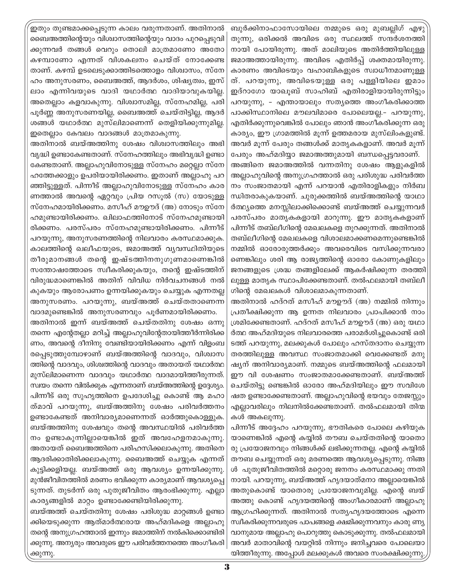ബുർക്കിനാഫാസോയിലെ നമ്മുടെ ഒരു മുബല്ലിഗ് എഴു തുന്നു, ഒരിക്കൽ അവിടെ ഒരു സ്ഥലത്ത് സന്ദർശനത്തി നായി പോയിരുന്നു. അത് മാലിയുടെ അതിർത്തിയിലുള്ള ജമാഅത്തായിരുന്നു. അവിടെ എതിർപ്പ് ശക്തമായിരുന്നു. കാരണം അവിടെയും വഹാബികളുടെ സ്വാധീനമാണുള്ള ത്. പറയുന്നു, അവിടെയുള്ള ഒരു പള്ളിയിലെ ഇമാം ഇദ്റാഗോ യാഖൂബ് സാഹിബ് എതിരാളിയായിരുന്നിട്ടും പറയുന്നു, - എന്തായാലും സത്യത്തെ അംഗീകരിക്കാത്ത പാക്കിസ്ഥാനിലെ മൗലവിമാരെ പോലെയല്ല.– പറയുന്നു, എതിർക്കുന്നുവെങ്കിൽ പോലും ഞാൻ അംഗീകരിക്കുന്ന ഒരു കാര്യം, ഈ ഗ്രാമത്തിൽ മൂന്ന് ഉത്തമരായ മുസ്ലിംകളുണ്ട്. അവർ മൂന്ന് പേരും തങ്ങൾക്ക് മാതൃകകളാണ്. അവർ മൂന്ന്

പേരും അഹ്മദിയ്യാ ജമാഅത്തുമായി ബന്ധപ്പെട്ടവരാണ്. അങ്ങിനെ ജമാഅത്തിൽ വന്നതിനു ശേഷം ആളുകളിൽ അല്ലാഹുവിന്റെ അനുഗ്രഹത്താൽ ഒരു പരിശുദ്ധ പരിവർത്ത നം സംജാതമായി എന്ന് പറയാൻ എതിരാളികളും നിർബ ന്ധിതരാകുകയാണ്. ചുരുക്കത്തിൽ ബയ്അത്തിന്റെ യാഥാ ർത്ഥ്യത്തെ മനസ്സിലാക്കിക്കൊണ്ട് ബയ്അത്ത് ചെയ്യുന്നവർ പരസ്പരം മാതൃകകളായി മാറുന്നു. ഈ മാതൃകകളാണ് പിന്നീട് തബ്ലീഗിന്റെ മേഖലകളെ തുറക്കുന്നത്. അതിനാൽ തബ്ലീഗിന്റെ മേഖലകളെ വിശാലമാക്കണമെന്നുണ്ടെങ്കിൽ നമ്മിൽ ഓരോരുത്തർക്കും അവരെവിടെ വസിക്കുന്നവരാ ണെങ്കിലും ശരി ആ രാജ്യത്തിന്റെ ഓരോ കോണുകളിലും ജനങ്ങളുടെ ശ്രദ്ധ തങ്ങളിലേക്ക് ആകർഷിക്കുന്ന തരത്തി ലുള്ള മാതൃക സ്ഥാപിക്കേണ്ടതാണ്. തൽഫലമായി തബ്ലീ ഗിന്റെ മേഖലകൾ വിശാലമാകുന്നതാണ്.

അതിനാൽ ഹദ്റത് മസീഹ് മൗഊദ് (അ) നമ്മിൽ നിന്നും പ്രതീക്ഷിക്കുന്ന ആ ഉന്നത നിലവാരം പ്രാപിക്കാൻ നാം ശ്രമിക്കേണ്ടതാണ്. ഹദ്റത് മസീഹ് മൗഊദ് (അ) ഒരു യഥാ ർത്ഥ അഹ്മദിയുടെ നിലവാരത്തെ പരാമർശിച്ചുകൊണ്ട് ഒരി ടത്ത് പറയുന്നു, മലക്കുകൾ പോലും ഹസ്തദാനം ചെയ്യുന്ന തരത്തിലുള്ള അവസ്ഥ സംജാതമാക്കി വെക്കേണ്ടത് മനു ഷ്യന് അനിവാര്യമാണ്. നമ്മുടെ ബയ്അത്തിന്റെ ഫലമായി ഈ വി ശേഷണം സംജാതമാക്കേണ്ടതാണ്. ബയ്അത്ത് ചെയ്തിട്ടു ണ്ടെങ്കിൽ ഓരോ അഹ്മദിയിലും ഈ സവിശേ ഷത ഉണ്ടാക്കേണ്ടതാണ്. അല്ലാഹുവിന്റെ ഭയവും തേജസ്സും എല്ലാവരിലും നിലനിൽക്കേണ്ടതാണ്. തൽഫലമായി തിന്മ കൾ അകലുന്നു.

പിന്നീട് അദ്ദേഹം പറയുന്നു, ഭൗതികരെ പോലെ കഴിയുക യാണെങ്കിൽ എന്റെ കയ്യിൽ തൗബ ചെയ്തതിന്റെ യാതൊ രു പ്രയോജനവും നിങ്ങൾക്ക് ലഭിക്കുന്നതല്ല. എന്റെ കയ്യിൽ തൗബ ചെയ്യുന്നത് ഒരു മരണത്തെ ആവശ്യപ്പെടുന്നു. നിങ്ങ ൾ പുതുജീവിതത്തിൽ മറ്റൊരു ജനനം കരസ്ഥമാക്കു ന്നതി നായി. പറയുന്നു, ബയ്അത്ത് ഹൃദയാത്മനാ അല്ലായെങ്കിൽ അതുകൊണ്ട് യാതൊരു പ്രയോജനവുമില്ല. എന്റെ ബയ് അത്തു കൊണ്ട് ഹൃദയത്തിന്റെ അംഗീകാരമാണ് അല്ലാഹു ആഗ്രഹിക്കുന്നത്. അതിനാൽ സത്യഹൃദയത്തോടെ എന്നെ സ്ഥീകരിക്കുന്നവരുടെ പാപങ്ങളെ ക്ഷമിക്കുന്നവനും കാരു ണ്യ വാനുമായ അല്ലാഹു പൊറുത്തു കൊടുക്കുന്നു. തൽഫലമായി അവർ മാതാവിന്റെ വയറ്റിൽ നിന്നും ജനിച്ചവരെ പോലെയാ യിത്തീരുന്നു. അപ്പോൾ മലക്കുകൾ അവരെ സംരക്ഷിക്കുന്നു

ഇതും തുണ്ടമാക്കപ്പെടുന്ന കാലം വരുന്നതാണ്. അതിനാൽ ബൈഅത്തിന്റെയും വിശ്വാസത്തിന്റെയും വാദം പുറപ്പെടുവി ക്കുന്നവർ തങ്ങൾ വെറും തൊലി മാത്രമാണോ അതോ കഴമ്പാണോ എന്നത് വിശകലനം ചെയ്ത് നോക്കേണ്ട താണ്. കഴമ്പ് ഉടലെടുക്കാത്തിടത്തൊളം വിശ്വാസം, സ്നേ ഹം അനുസരണം, ബൈഅത്ത്, ആദർശം, ശിഷ്യത്വം, ഇസ് ലാം എന്നിവയുടെ വാദി യഥാർത്ഥ വാദിയാവുകയില്ല. അതെല്ലാം കളവാകുന്നു. വിശ്വാസമില്ല, സ്നേഹമില്ല, പരി പൂർണ്ണ അനുസരണയില്ല, ബൈഅത്ത് ചെയ്തിട്ടില്ല, ആദർ ശങ്ങൾ യഥാർത്ഥ മുസ്ലിമാണെന്ന് തെളിയിക്കുന്നുമില്ല. ഇതെല്ലാം കേവലം വാദങ്ങൾ മാത്രമാകുന്നു.

അതിനാൽ ബയ്അത്തിനു ശേഷം വിശ്വാസത്തിലും അഭി വൃദ്ധി ഉണ്ടാകേണ്ടതാണ്. സ്നേഹത്തിലും അഭിവൃദ്ധി ഉണ്ടാ കേണ്ടതാണ്. അല്ലാഹുവിനോടുള്ള സ്നേഹം മറ്റെല്ലാ സ്നേ ഹത്തേക്കാളും ഉപരിയായിരിക്കണം. ഇതാണ് അല്ലാഹു പറ ഞ്ഞിട്ടുള്ളത്. പിന്നീട് അല്ലാഹുവിനോടുള്ള സ്നേഹം കാര ണത്താൽ അവന്റെ ഏറ്റവും പ്രിയ റസൂൽ (സ) യോടുള്ള സ്നേഹമായിരിക്കണം. മസീഹ് മൗഊദ് (അ) നോടും സ്നേ ഹമുണ്ടായിരിക്കണം. ഖിലാഫത്തിനോട് സ്നേഹമുണ്ടായി രിക്കണം. പരസ്പരം സ്നേഹമുണ്ടായിരിക്കണം. പിന്നീട് പറയുന്നു, അനുസരണത്തിന്റെ നിലവാരം കരസ്ഥമാക്കുക. കാലത്തിന്റെ ഖലീഫയുടെ, ജമാഅത്ത് വ്യവസ്ഥിതിയുടെ തീരുമാനങ്ങൾ തന്റെ ഇഷ്ടത്തിനനുഗുണമാണെങ്കിൽ സന്തോഷത്തോടെ സ്വീകരിക്കുകയും, തന്റെ ഇഷ്ടത്തിന് വിരുദ്ധമാണെങ്കിൽ അതിന് വിവിധ നിർവചനങ്ങൾ നൽ കുകയും ആരോപണം ഉന്നയിക്കുകയും ചെയ്യുക എന്നതല്ല അനുസരണം. പറയുന്നു, ബയ്അത്ത് ചെയ്തതാണെന്ന

വാദമുണ്ടെങ്കിൽ അനുസരണവും പൂർണമായിരിക്കണം. അതിനാൽ ഇന്ന് ബയ്അത്ത് ചെയ്തതിനു ശേഷം ഒന്നു തന്നെ എന്റേതല്ലാ മറിച്ച് അല്ലാഹുവിന്റേതായിത്തീർന്നിരിക്ക ണം, അവന്റെ ദീനിനു വേണ്ടിയായിരിക്കണം എന്ന് വിളംബ രപ്പെടുത്തുമ്പോഴാണ് ബയ്അത്തിന്റെ വാദവും, വിശ്വാസ ത്തിന്റെ വാദവും, ശിശ്വത്തിന്റെ വാദവും അതായത് യഥാർത്ഥ മുസ്ലിമാണെന്ന വാദവും യഥാർത്ഥ വാദമായിത്തീരുന്നത്. സ്ഥയം തന്നെ വിൽക്കുക എന്നതാണ് ബയ്അത്തിന്റെ ഉദ്ദേശ്യം. പിന്നീട് ഒരു സുഹൃത്തിനെ ഉപദേശിച്ചു കൊണ്ട് ആ മഹാ ത്മാവ് പറയുന്നു, ബയ്അത്തിനു ശേഷം പരിവർത്തനം ഉണ്ടാകേണ്ടത് അനിവാര്യമാണെന്നത് ഓർത്തുകൊള്ളുക. ബയ്അത്തിനു ശേഷവും തന്റെ അവസ്ഥയിൽ പരിവർത്ത നം ഉണ്ടാകുന്നില്ലായെങ്കിൽ ഇത് അവഹേളനമാകുന്നു. അതായത് ബൈഅത്തിനെ പരിഹസിക്കലാകുന്നു. അതിനെ ആദരിക്കാതിരിക്കലാകുന്നു. ബൈഅത്ത് ചെയ്യുക എന്നത് കുട്ടിക്കളിയല്ല. ബയ്അത്ത് ഒരു ആവശ്യം ഉന്നയിക്കുന്നു. മുൻജീവിതത്തിൽ മരണം ഭവിക്കുന്ന കാര്യമാണ് ആവശ്യപ്പെ ടുന്നത്. തുടർന്ന് ഒരു പുതുജീവിതം ആരംഭിക്കുന്നു. എല്ലാ കാര്യങ്ങളിൽ മാറ്റം ഉണ്ടാക്കേണ്ടിയിരിക്കുന്നു.

ബയ്അത്ത് ചെയ്തതിനു ശേഷം പരിശുദ്ധ മാറ്റങ്ങൾ ഉണ്ടാ ക്കിയെടുക്കുന്ന ആത്മാർത്ഥരായ അഹ്മദികളെ അല്ലാഹു തന്റെ അനുഗ്രഹത്താൽ ഇന്നും ജമാത്തിന് നൽകിക്കൊണ്ടിരി ക്കുന്നു. അന്യരും അവരുടെ ഈ പരിവർത്തനത്തെ അംഗീകരി ക്കുന്നു.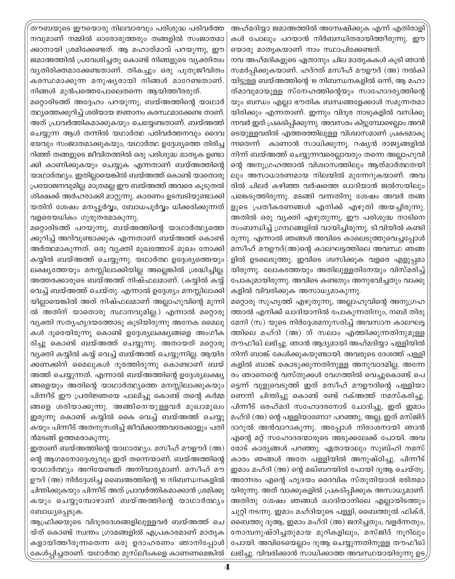തൗബയുടെ ഈയൊരു നിലവാരവും പരിശുദ്ധ പരിവർത്ത നവുമാണ് നമ്മിൽ ഓരോരുത്തരും തങ്ങളിൽ സംജാതമാ ക്കാനായി ശ്രമിക്കേണ്ടത്. ആ മഹാത്മാവ് പറയുന്നു, ഈ ജമാഅത്തിൽ പ്രവേശിച്ചതു കൊണ്ട് നിങ്ങളുടെ വ്യക്തിത്വം വ്യതിരിക്തമാക്കേണ്ടതാണ്. തികച്ചും ഒരു പുതുജീവിതം കരസ്ഥമാക്കുന്ന മനുഷ്യരായി നിങ്ങൾ മാറേണ്ടതാണ്. നിങ്ങൾ മുൻപത്തെപോലെതന്നെ ആയിത്തീരരുത്.

മറ്റൊരിടത്ത് അദ്ദേഹം പറയുന്നു, ബയ്അത്തിന്റെ യാഥാർ ത്ഥ്യത്തെക്കുറിച്ച് ശരിയായ ജ്ഞാനം കരസ്ഥമാക്കേണ്ട താണ്. അത് പ്രാവർത്തികമാക്കുകയും ചെയ്യേണ്ടതാണ്. ബയ്അത്ത് ചെയ്യുന്ന ആൾ തന്നിൽ യഥാർത്ഥ പരിവർത്തനവും ദൈവ ഭയവും സംജാതമാക്കുകയും, യഥാർത്ഥ ഉദ്ദേശ്യത്തെ തിരിച്ച റിഞ്ഞ് തങ്ങളുടെ ജീവിതത്തിൽ ഒരു പരിശുദ്ധ മാതൃക ഉണ്ടാ ക്കി കാണിക്കുകയും ചെയ്യുക എന്നതാണ് ബയ്അത്തിന്റെ യാഥാർത്ഥ്യം. ഇതില്ലായെങ്കിൽ ബയ്അത്ത് കൊണ്ട് യാതൊരു പ്രയോജനവുമില്ല. മാത്രമല്ല ഈ ബയ്അത്ത് അവരെ കൂടുതൽ ശിക്ഷക്ക് അർഹരാക്കി മാറ്റുന്നു. കാരണം ഉടമ്പടിയുണ്ടാക്കി യതിന് ശേഷം മനപ്പൂർവ്വം, ബോധപൂർവ്വം ധിക്കരിക്കുന്നത് വളരെയധികം ഗുരുതരമാകുന്നു.

മറ്റൊരിടത്ത് പറയുന്നു, ബയ്അത്തിന്റെ യാഥാർത്ഥ്യത്തെ ക്കുറിച്ച് അറിവുണ്ടാക്കുക എന്നതാണ് ബയ്അത്ത് കൊണ്ട് അർത്ഥമാകുന്നത്. ഒരു വ്യക്തി മുഖത്തോട് മുഖം നോക്കി കയ്യിൽ ബയ്അത്ത് ചെയ്യുന്നു. യഥാർത്ഥ ഉദ്ദേശ്യത്തെയും ലക്ഷ്യത്തേയും മനസ്സിലാക്കിയില്ല അല്ലെങ്കിൽ ശ്രദ്ധിച്ചില്ല. അത്തരക്കാരുടെ ബയ്അത്ത് നിഷ്ഫലമാണ്. (കയ്യിൽ കയ്യ് വെച്ച് ബയ്അത്ത് ചെയ്തു. എന്നാൽ ഉദ്ദേശ്യം മനസ്സിലാക്കി യില്ലായെങ്കിൽ അത് നിഷ്ഫലമാണ് അല്ലാഹുവിന്റെ മുന്നി ൽ അതിന് യാതൊരു സ്ഥാനവുമില്ല.) എന്നാൽ മറ്റൊരു വ്യക്തി സത്യഹൃദയത്തോടു കുടിയിരുന്നു അനേക മൈലു കൾ ദുരെയിരുന്നു കൊണ്ട് ഉദ്ദേശ്യലക്ഷ്യങ്ങളെ അംഗീക രിച്ചു കൊണ്ട് ബയ്അത്ത് ചെയ്യുന്നു. അതായത് മറ്റൊരു വ്യക്തി കയ്യിൽ കയ്യ് വെച്ച് ബയ്അത്ത് ചെയ്യുന്നില്ല. ആയിര ക്കണക്കിന് മൈലുകൾ ദൂരത്തിരുന്നു കൊണ്ടാണ് ബയ് അത്ത് ചെയ്യുന്നത്. എന്നാൽ ബയ്അത്തിന്റെ ഉദ്ദേശ്യലക്ഷ്യ ങ്ങളെയും അതിന്റെ യാഥാർത്ഥ്യത്തെ മനസ്സിലാക്കുകയും പിന്നീട് ഈ പ്രതിജ്ഞയെ പാലിച്ചു കൊണ്ട് തന്റെ കർമ്മ ങ്ങളെ ശരിയാക്കുന്നു. അങ്ങിനെയുള്ളവർ മുഖാമുഖം ഇരുന്നു കൊണ്ട് കയ്യിൽ കൈ വെച്ച് ബയ്അത്ത് ചെയ്യു കയും പിന്നീട് അതനുസരിച്ച് ജീവിക്കാത്തവരേക്കാളും പതി ൻമടങ്ങ് ഉത്തമരാകുന്നു.

ഇതാണ് ബയ്അത്തിന്റെ യാഥാത്ഥ്യം. മസീഹ് മൗഊദ് (അ) ന്റെ ആഗമനോദ്ദേശ്യവും ഇത് തന്നെയാണ്. ബയ്അത്തിന്റെ യാഥാർത്ഥ്യം അറിയേണ്ടത് അനിവാര്യമാണ്. മസീഹ് മൗ ഊദ് (അ) നിർദ്ദേശിച്ച ബൈഅത്തിന്റെ 10 നിബന്ധനകളിൽ ചിന്തിക്കുകയും പിന്നീട് അത് പ്രാവർത്തികമാക്കാൻ ശ്രമിക്കു കയും ചെയ്യുമ്പോഴാണ് ബയ്അത്തിന്റെ യാഥാർത്ഥ്യം ബോധ്യപ്പെടുക.

ആഫ്രിക്കയുടെ വിദുരദേശങ്ങളിലുള്ളവർ ബയ്അത്ത് ചെ യ്ത് കൊണ്ട് സ്വന്തം ഗ്രാമങ്ങളിൽ എപ്രകാരമാണ് മാതൃക കളായിത്തീരുന്നതെന്ന ഒരു ഉദാഹരണം ഞാനിപ്പോൾ കേൾപ്പിച്ചതാണ്. യഥാർത്ഥ മുസ്ലീംകളെ കാണണമെങ്കിൽ

അഹ്മദിയ്യാ ജമാഅത്തിൽ അന്വേഷിക്കുക എന്ന് എതിരാളി കൾ പോലും പറയാൻ നിർബന്ധിതരായിത്തീരുന്നു. ഈ യൊരു മാതൃകയാണ് നാം സ്ഥാപിക്കേണ്ടത്.

നവ അഹ്മദികളുടെ ഏതാനും ചില മാതൃകകൾ കൂടി ഞാൻ സമർപ്പിക്കുകയാണ്. ഹദ്റത് മസീഹ് മൗഊദ് (അ) നൽകി യിട്ടുള്ള ബയ്അത്തിന്റെ 10 നിബന്ധനകളിൽ ഒന്ന്, ആ മഹാ ത്മാവുമായുള്ള സ്നേഹത്തിന്റെയും സാഹോദര്യത്തിന്റെ യും ബന്ധം എല്ലാ ഭൗതിക ബന്ധങ്ങളേക്കാൾ സമുന്നതമാ യിരിക്കും എന്നതാണ്. ഇന്നും വിദുര നാടുകളിൽ വസിക്കു ന്നവർ ഇത് പ്രകടിപ്പിക്കുന്നു. അവസരം കിട്ടുമ്പോഴെല്ലാം അവി ടെയുള്ളവരിൽ എത്തരത്തിലുള്ള വിശ്വാസമാണ് പ്രകടമാകു ന്നതെന്ന് കാണാൻ സാധിക്കുന്നു. റഷ്യൻ രാജ്യങ്ങളിൽ നിന്ന് ബയ്അത്ത് ചെയ്യുന്നവരെല്ലാവരും തന്നെ അല്ലാഹുവി ന്റെ അനുഗ്രഹത്താൽ വിശ്വാസത്തിലും ആത്മാർത്ഥതയി ലും അസാധാരണമായ നിലയിൽ മുന്നേറുകയാണ്. അവ രിൽ ചിലർ കഴിഞ്ഞ വർഷത്തെ ഖാദിയാൻ ജൽസയിലും പങ്കെടുത്തിരുന്നു. മടങ്ങി വന്നതിനു ശേഷം അവർ തങ്ങ ളുടെ പ്രതീകരണങ്ങൾ എനിക്ക് എഴുതി അയച്ചിരുന്നു. അതിൽ ഒരു വ്യക്തി എഴുതുന്നു, ഈ പരിശുദ്ധ നാടിനെ സംബന്ധിച്ച് ഗ്രന്ഥങ്ങളിൽ വായിച്ചിരുന്നു. ടി.വിയിൽ കണ്ടി രുന്നു. എന്നാൽ ഞങ്ങൾ അവിടെ കാലെടുത്തുവെച്ചപ്പോൾ മസീഹ് മൗഊദ്(അ)ന്റെ കാലഘട്ടത്തിലെ അവസ്ഥ ഞങ്ങ ളിൽ ഉടലെടുത്തു. ഇവിടെ ശ്വസിക്കുക വളരെ എളുപ്പമാ യിരുന്നു. ലോകത്തേയും അതിലുള്ളതിനേയും വിസ്മരിച്ച് പോകുമായിരുന്നു. അവിടെ കണ്ടതും അനുഭവിച്ചതും വാക്കു കളിൽ വിവരിക്കുക അസാധ്യമാകുന്നു.

മറ്റൊരു സുഹൃത്ത് എഴുതുന്നു, അല്ലാഹുവിന്റെ അനുഗ്രഹ ത്താൽ എനിക്ക് ഖാദിയാനിൽ പോകുന്നതിനും, നബി തിരു മേനി (സ) യുടെ നിർദ്ദേശമനുസരിച്ച് അവസാന കാലഘട്ട ത്തിലെ മഹ്ദി (അ) ന് സലാം എത്തിക്കുന്നതിനുമുള്ള തൗഫീഖ് ലഭിച്ചു. ഞാൻ ആദ്യമായി അഹ്മദിയ്യാ പള്ളിയിൽ നിന്ന് ബാങ്ക് കേൾക്കുകയുണ്ടായി. അവരുടെ ദേശത്ത് പള്ളി കളിൽ ബാങ്ക് കൊടുക്കുന്നതിനുള്ള അനുവാദമില്ല. അന്നേ രം ഞാനെന്റെ വസ്തുക്കൾ വേഗത്തിൽ വെച്ചുകൊണ്ട് പെ ട്ടെന്ന് വുളുവെടുത്ത് ഇത് മസീഹ് മൗഊദിന്റെ പള്ളിയാ ണെന്ന് ചിന്തിച്ചു കൊണ്ട് രണ്ട് റക്അത്ത് നമസ്കരിച്ചു. പിന്നീട് ഒരഹ്മദി സഹോദരനോട് ചോദിച്ചു, ഇത് ഇമാം മഹ്ദി (അ) ന്റെ പള്ളിയാണോ? പറഞ്ഞു, അല്ല, ഇത് മസ്ജിദ് ദാറുൽ അൻവാറാകുന്നു. അപ്പോൾ നിരാശനായി ഞാൻ എന്റെ മറ്റ് സഹോദരന്മാരുടെ അടുക്കലേക്ക് പോയി. അവ രോട് കാര്യങ്ങൾ പറഞ്ഞു. ഏതായാലും സുബ്ഹി നമസ് കാരം ഞങ്ങൾ അതേ പള്ളിയിൽ അനുഷ്ഠിച്ചു. പിന്നീട് ഇമാം മഹ്ദി (അ) ന്റെ മഖ്ബറയിൽ പോയി ദുആ ചെയ്തു. അന്നേരം എന്റെ ഹൃദയം ദൈവിക സ്തുതിയാൽ ഭരിതമാ യിരുന്നു. അത് വാക്കുകളിൽ പ്രകടിപ്പിക്കുക അസാധ്യമാണ്. അതിനു ശേഷം ഞങ്ങൾ ഖാദിയാനിലെ എല്ലായിടത്തും ചുറ്റി നടന്നു. ഇമാം മഹ്ദിയുടെ പള്ളി, ബൈത്തുൽ ഫിക്ർ, ബൈത്തു ദുആ, ഇമാം മഹ്ദി (അ) ജനിച്ചതും, വളർന്നതും, നോമ്പനുഷ്ഠിച്ചതുമായ മുറികളിലും, മസ്ജിദ് നൂറിലും പോയി. അവിടെയെല്ലാം ദുആ ചെയ്യുന്നതിനുള്ള തൗഫീഖ് ലഭിച്ചു. വിവരിക്കാൻ സാധിക്കാത്ത അവസ്ഥയായിരുന്നു ഉട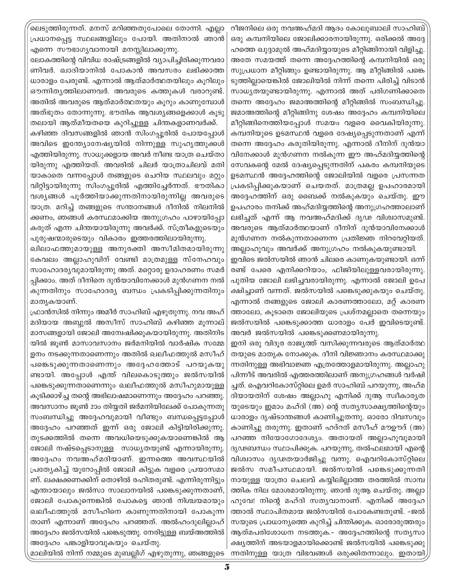.<br>ലെടുത്തിരുന്നത്. മനസ് മറിഞ്ഞതുപോലെ തോന്നി. എല്ലാ പ്രധാനപ്പെട്ട സ്ഥലങ്ങളിലും പോയി. അതിനാൽ ഞാൻ എന്നെ സൗഭാഗൃവാനായി മനസ്സിലാക്കുന്നു.

ലോകത്തിന്റെ വിവിധ രാഷ്ട്രങ്ങളിൽ വ്യാപിച്ചിരിക്കുന്നവരാ ണിവർ. ഖാദിയാനിൽ പോകാൻ അവസരം ലഭിക്കാത്ത ധാരാളം പേരുണ്ട്. എന്നാൽ ആത്മാർത്ഥതയിലും കൂറിലും ഔന്നിതൃത്തിലാണവർ. അവരുടെ കത്തുകൾ വരാറുണ്ട്. അതിൽ അവരുടെ ആത്മാർത്ഥതയും കൂറും കാണുമ്പോൾ അത്ഭുതം തോന്നുന്നു. ഭൗതിക ആവശ്യങ്ങളെക്കാൾ കൂടു തലായി ആത്മീയതയെ കുറിച്ചുള്ള ചിന്തകളാണവർക്ക്.

കഴിഞ്ഞ ദിവസങ്ങളിൽ ഞാൻ സിംഗപ്പൂരിൽ പോയപ്പോൾ അവിടെ ഇത്ത്യോനേഷ്യയിൽ നിന്നുള്ള സുഹൃത്തുക്കൾ എത്തിയിരുന്നു. സാധുക്കളായ അവർ നീണ്ട യാത്ര ചെയ്താ യിരുന്നു എത്തിയത്. അവരിൽ ചിലർ യാത്രാചിലവ് മതി യാകാതെ വന്നപ്പോൾ തങ്ങളുടെ ചെറിയ സ്ഥലവും മറ്റും വിറ്റിട്ടായിരുന്നു സിംഗപ്പൂരിൽ എത്തിച്ചേർന്നത്. ഭൗതികാ വശ്യങ്ങൾ പൂർത്തിയാക്കുന്നതിനായിരുന്നില്ല അവരുടെ യാത്ര. മറിച്ച് തങ്ങളുടെ സന്താനങ്ങൾ ദീനിൽ നിലനിൽ ക്കണം, ഞങ്ങൾ കരസ്ഥമാക്കിയ അനുഗ്രഹം പാഴായിപ്പോ കരുത് എന്ന ചിന്തയായിരുന്നു അവർക്ക്. സ്ത്രീകളുടെയും പുരുഷന്മാരുടെയും വികാരം ഇത്തരത്തിലായിരുന്നു.

ഖിലാഫത്തുമായുള്ള അനുരക്തി അസീമിതമായിരുന്നു കേവലം അല്ലാഹുവിന് വേണ്ടി മാത്രമുള്ള സ്നേഹവും സാഹോദര്യവുമായിരുന്നു അത്. മറ്റൊരു ഉദാഹരണം സമർ പ്പിക്കാം. അത് ദീനിനെ ദുൻയാവിനേക്കാൾ മുൻഗണന നൽ കുന്നതിനും സാഹോദര്യ ബന്ധം പ്രകടിപ്പിക്കുന്നതിനും മാതൃകയാണ്.

ഫ്രാൻസിൽ നിന്നും അമീർ സാഹിബ് എഴുതുന്നു. നവ അഹ് മദിയായ അബ്ദൽ അസീസ് സാഹിബ് കഴിഞ്ഞ മുന്നാല് മാസങ്ങളായി ജോലി അന്വേഷിക്കുകയായിരുന്നു. അതിനിട യിൽ ജൂൺ മാസാവസാനം ജർമനിയിൽ വാർഷിക സമ്മേ ളനം നടക്കുന്നതാണെന്നും അതിൽ ഖലീഫത്തുൽ മസീഹ് പങ്കെടുക്കുന്നതാണെന്നും അദ്ദേഹത്തോട് പറയുകയു ണ്ടായി. അപ്പോൾ എന്ത് വിലകൊടുത്തും ജൽസയിൽ പങ്കെടുക്കുന്നതാണെന്നും ഖലീഫത്തുൽ മസീഹുമായുള്ള കുടിക്കാഴ്ച്ച തന്റെ അഭിലാഷമാണെന്നും അദ്ദേഹം പറഞ്ഞു. അവസാനം ജൂൺ 2ാം തിയ്യതി ജർമനിയിലേക്ക് പോകുന്നതു സംബന്ധിച്ചു അദ്ദേഹവുമായി വീണ്ടും ബന്ധപ്പെട്ടപ്പോൾ അദ്ദേഹം പറഞ്ഞത് ഇന്ന് ഒരു ജോലി കിട്ടിയിരിക്കുന്നു. തുടക്കത്തിൽ തന്നെ അവധിയെടുക്കുകയാണെങ്കിൽ ആ ജോലി നഷ്ടപ്പെടാനുള്ള സാധ്യതയുണ്ട് എന്നായിരുന്നു. അദ്ദേഹം നവഅഹ്മദിയാണ്. ഇന്നത്തെ അവസ്ഥയിൽ പ്രത്യേകിച്ച് യൂറോപ്പിൽ ജോലി കിട്ടുക വളരെ പ്രയാസമാ ണ്. ലക്ഷക്കണക്കിന് തൊഴിൽ രഹിതരുണ്ട്. എന്നിരുന്നിട്ടും എന്തായാലും ജൽസാ സാലാനയിൽ പങ്കെടുക്കുന്നതാണ്, ജോലി പോകുന്നെങ്കിൽ പോകട്ടെ ഞാൻ നിശ്ചയമായും ഖലീഫത്തുൽ മസീഹിനെ കാണുന്നതിനായി പോകുന്ന താണ് എന്നാണ് അദ്ദേഹം പറഞ്ഞത്. അൽഹംദുലില്ലാഹ് അദ്ദേഹം ജൽസയിൽ പങ്കെടുത്തു. നേരിട്ടുള്ള ബയ്അത്തിൽ അദ്ദേഹം പങ്കാളിയാവുകയും ചെയ്തു.

റീജനിലെ ഒരു നവഅഹ്മദി ആദം കോലുബാലി സാഹിബ് ഒരു കമ്പനിയിലെ ജോലിക്കാരനായിരുന്നു. ഒരിക്കൽ അദ്ദേ ഹത്തെ ഖുദ്ദാമുൽ അഹ്മദിയ്യായുടെ മീറ്റിങ്ങിനായി വിളിച്ചു. അതേ സമയത്ത് തന്നെ അദ്ദേഹത്തിന്റെ കമ്പനിയിൽ ഒരു സുപ്രധാന മീറ്റിങ്ങും ഉണ്ടായിരുന്നു. ആ മീറ്റിങ്ങിൽ പങ്കെ ടുത്തില്ലായെങ്കിൽ ജോലിയിൽ നിന്ന് തന്നെ പിരിച്ച് വിടാൻ സാധ്യതയുണ്ടായിരുന്നു. എന്നാൽ അത് പരിഗണിക്കാതെ തന്നെ അദ്ദേഹം ജമാഅത്തിന്റെ മീറ്റിങ്ങിൽ സംബന്ധിച്ചു. ജമാഅത്തിന്റെ മീറ്റിങ്ങിനു ശേഷം അദ്ദേഹം കമ്പനിയിലെ മീറ്റിങ്ങിനെത്തിയപ്പോൾ സമയം വളരെ വൈകിയിരുന്നു. കമ്പനിയുടെ ഉടമസ്ഥൻ വളരെ ദേഷ്യപ്പെടുന്നതാണ് എന്ന് തന്നെ അദ്ദേഹം കരുതിയിരുന്നു. എന്നാൽ ദീനിന് ദുൻയാ വിനേക്കാൾ മുൻഗണന നൽകുന്ന ഈ അഹ്മദിയ്യത്തിന്റെ സേവകന്റെ മേൽ ദേഷ്യപ്പെടുന്നതിന് പകരം കമ്പനിയുടെ ഉടമസ്ഥൻ അദ്ദേഹത്തിന്റെ ജോലിയിൽ വളരെ പ്രസന്നത പ്രകടിപ്പിക്കുകയാണ് ചെയതത്. മാത്രമല്ല ഉപഹാരമായി അദ്ദേഹത്തിന് ഒരു ബൈക്ക് നൽകുകയും ചെയ്തു. ഈ ഉപഹാരം തനിക്ക് അഹ്മദിയ്യത്തിന്റെ അനുഗ്രഹത്താലാണ് ലഭിച്ചത് എന്ന് ആ നവഅഹ്മദിക്ക് ദൃഢ വിശ്വാസമുണ്ട്. അവരുടെ ആത്മാർത്ഥയാണ് ദീനിന് ദുൻയാവിനേക്കാൾ മുൻഗണന നൽകുന്നതാണെന്ന പ്രതിജ്ഞ നിറവേറ്റിയത്.

അല്ലാഹുവും അവർക്ക് അനുഗ്രഹം നൽകുകയുണ്ടായി. ഇവിടെ ജൽസയിൽ ഞാൻ ചിലരെ കാണുകയുണ്ടായി. ഒന്ന് രണ്ട് പേരെ എനിക്കറിയാം, ഫിജിയിലുള്ളവരായിരുന്നു. പുതിയ ജോലി ലഭിച്ചവരായിരുന്നു. എന്നാൽ ജോലി ഉപേ ക്ഷിച്ചാണ് വന്നത്. ജൽസയിൽ പങ്കെടുക്കുകയും ചെയ്തു. എന്നാൽ തങ്ങളുടെ ജോലി കാരണത്താലോ, മറ്റ് കാരണ ത്താലോ, കൂടാതെ ജോലിയുടെ പ്രശ്നമല്ലാതെ തന്നെയും ജൽസയിൽ പങ്കെടുക്കാത്ത ധാരാളം പേർ ഇവിടെയുണ്ട്. അവർ ജൽസയിൽ പങ്കെടുക്കണമായിരുന്നു.

ഇനി ഒരു വിദൂര രാജ്യത്ത് വസിക്കുന്നവരുടെ ആത്മാർത്ഥ തയുടെ മാതൃക നോക്കുക. ദീനി വിജ്ഞാനം കരസ്ഥമാക്കു ന്നതിനുള്ള അഭിവാജ്ഞ എത്രത്തോളമായിരുന്നു. അല്ലാഹു പിന്നീട് അവരിൽ എത്തരത്തിലാണ് അനുഗ്രഹങ്ങൾ വർഷി ച്ചത്. ഐവറികോസ്റ്റിലെ ഉമർ സാഹിബ് പറയുന്നു, അഹ്മ ദിയായതിന് ശേഷം അല്ലാഹു എനിക്ക് ദുആ സ്വീകാര്യത യുടെയും ഇമാം മഹ്ദി (അ) ന്റെ സത്യസാക്ഷ്യത്തിന്റെയും ധാരാളം ദൃഷ്ടാന്തങ്ങൾ കാണിച്ചുതന്നു. ഓരോ ദിവസവും കാണിച്ചു തരുന്നു. ഇതാണ് ഹദ്റത് മസീഹ് മൗഊദ് (അ) പറഞ്ഞ നിയോഗോദേശ്യം. അതായത് അല്ലാഹുവുമായി ദൃഢബന്ധം സ്ഥാപിക്കുക. പറയുന്നു, തൽഫലമായി എന്റെ വിശ്വാസം ദൃഢതയാർജിച്ചു വന്നു. ഐവറികോസ്റ്റിലെ ജൽസ സമീപസ്ഥമായി. ജൽസയിൽ പങ്കെടുക്കുന്നതി നായുള്ള യാത്രാ ചെലവ് കയ്യിലില്ലാത്ത തരത്തിൽ സാമ്പ ത്തിക നില മോശമായിരുന്നു. ഞാൻ ദുആ ചെയ്തു. അല്ലാ ഹുവേ! നിന്റെ മഹ്ദി സത്യവാനാണ്. എനിക്ക് അദ്ദേഹ ത്താൽ സ്ഥാപിതമായ ജൽസയിൽ പോകേണ്ടതുണ്ട്. -ജൽ സയുടെ പ്രാധാന്യത്തെ കുറിച്ച് ചിന്തിക്കുക. ഓരോരുത്തരും ആത്മപരിശോധന നടത്തുക.– അദ്ദേഹത്തിന്റെ സത്യസാ ക്ഷ്യത്തിന് അടയാളമായിക്കൊണ്ട് ജൽസയിൽ പങ്കെടുക്കു ന്നതിനുള്ള യാത്ര വിഭവങ്ങൾ ഒരുക്കിതന്നാലും. ഇതായി

മാലിയിൽ നിന്ന് നമ്മുടെ മുബല്ലിഗ് എഴുതുന്നു, ഞങ്ങളുടെ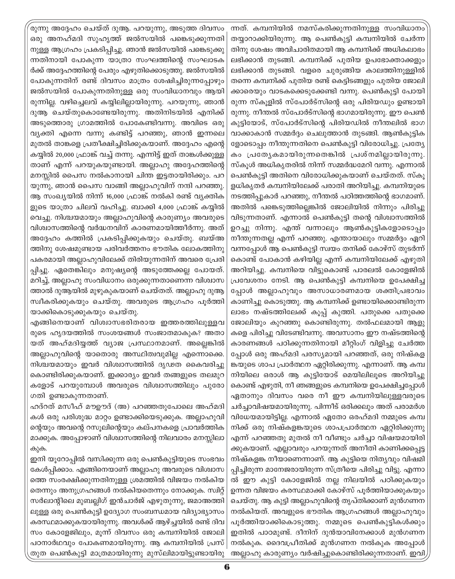രുന്നു അദ്ദേഹം ചെയ്ത് ദുആ. പറയുന്നു, അടുത്ത ദിവസം ഒരു അനഹ്മദി സുഹൃത്ത് ജൽസയിൽ പങ്കെടുക്കുന്നതി നുള്ള ആഗ്രഹം പ്രകടിപ്പിച്ചു. ഞാൻ ജൽസയിൽ പങ്കെടുക്കു ന്നതിനായി പോകുന്ന യാത്രാ സംഘത്തിന്റെ സംഘാടക ർക്ക് അദ്ദേഹത്തിന്റെ പേരും എഴുതിക്കൊടുത്തു. ജൽസയിൽ പോകുന്നതിന് രണ്ട് ദിവസം മാത്രം ശേഷിച്ചിരുന്നപ്പോഴും ജൽസയിൽ പോകുന്നതിനുള്ള ഒരു സംവിധാനവും ആയി രുന്നില്ല. വഴിച്ചെലവ് കയ്യിലില്ലായിരുന്നു. പറയുന്നു, ഞാൻ ദുആ ചെയ്തുകൊണ്ടേയിരുന്നു. അതിനിടയിൽ എനിക്ക് അടുത്തൊരു ഗ്രാമത്തിൽ പോകേണ്ടിവന്നു. അവിടെ ഒരു വ്യക്തി എന്നെ വന്നു കണ്ടിട്ട് പറഞ്ഞു, ഞാൻ ഇന്നലെ മുതൽ താങ്കളെ പ്രതീക്ഷിച്ചിരിക്കുകയാണ്. അദ്ദേഹം എന്റെ കയ്യിൽ 20,000 ഫ്രാങ്ക് വച്ച് തന്നു. എന്നിട്ട് ഇത് താങ്കൾക്കുള്ള താണ് എന്ന് പറയുകയുണ്ടായി. അല്ലാഹു അദ്ദേഹത്തിന്റെ മനസ്സിൽ പൈസ നൽകാനായി ചിന്ത ഇട്ടതായിരിക്കും. പറ യുന്നു, ഞാൻ പൈസ വാങ്ങി അല്ലാഹുവിന് നന്ദി പറഞ്ഞു. ആ സംഖ്യയിൽ നിന്ന് 16,000 ഫ്രാങ്ക് നൽകി രണ്ട് വൃക്തിക ളുടെ യാത്രാ ചിലവ് വഹിച്ചു. ബാക്കി 4,000 ഫ്രാങ്ക് കയ്യിൽ വെച്ചു. നിശ്ചയമായും അല്ലാഹുവിന്റെ കാരുണ്യം അവരുടെ വിശ്വാസത്തിന്റെ വർദ്ധനവിന് കാരണമായിത്തീർന്നു. അത് അദ്ദേഹം കത്തിൽ പ്രകടിപ്പിക്കുകയും ചെയ്തു. ബയ്അ ത്തിനു ശേഷമുണ്ടായ പരിവർത്തനം ഭൗതിക ലോകത്തിനു പകരമായി അല്ലാഹുവിലേക്ക് തിരിയുന്നതിന് അവരെ പ്രേരി പ്പിച്ചു. ഏതെങ്കിലും മനുഷ്യന്റെ അടുത്തേക്കല്ല പോയത്. മറിച്ച്, അല്ലാഹു സംവിധാനം ഒരുക്കുന്നതാണെന്ന വിശ്വാസ ത്താൽ ദുആയിൽ മുഴുകുകയാണ് ചെയ്തത്. അല്ലാഹു ദുആ സ്ഥീകരിക്കുകയും ചെയ്തു. അവരുടെ ആഗ്രഹം പൂർത്തി യാക്കികൊടുക്കുകയും ചെയ്തു.

എങ്ങിനെയാണ് വിശ്വാസഭരിതരായ ഇത്തരത്തിലുള്ളവ രുടെ ഹൃദയത്തിൽ സംശയങ്ങൾ സംജാതമാകുക? അതാ യത് അഹ്മദിയ്യത്ത് വ്യാജ പ്രസ്ഥാനമാണ്. അല്ലെങ്കിൽ അല്ലാഹുവിന്റെ യാതൊരു അസ്ഥിത്വവുമില്ല എന്നൊക്കെ. നിശ്ചയമായും ഇവർ വിശ്വാസത്തിൽ ദൃഢത കൈവരിച്ചു കൊണ്ടിരിക്കുകയാണ്. ഇക്കാര്യം ഇവർ തങ്ങളുടെ തലമുറ കളോട് പറയുമ്പോൾ അവരുടെ വിശ്വാസത്തിലും പുരോ ഗതി ഉണ്ടാകുന്നതാണ്.

ഹദ്റത് മസീഹ് മൗഊദ് (അ) പറഞ്ഞതുപോലെ അഹ്മദി കൾ ഒരു പരിശുദ്ധ മാറ്റം ഉണ്ടാക്കിയെടുക്കുക. അല്ലാഹുവി ന്റെയും അവന്റെ റസൂലിന്റെയും കല്പനകളെ പ്രാവർത്തിക മാക്കുക. അപ്പോഴാണ് വിശ്വാസത്തിന്റെ നിലവാരം മനസ്സിലാ കുക.

ഇനി യൂറോപ്പിൽ വസിക്കുന്ന ഒരു പെൺകുട്ടിയുടെ സംഭവം കേൾപ്പിക്കാം. എങ്ങിനെയാണ് അല്ലാഹു അവരുടെ വിശ്വാസ ത്തെ സംരക്ഷിക്കുന്നതിനുള്ള ശ്രമത്തിൽ വിജയം നൽകിയ തെന്നും അനുഗ്രഹങ്ങൾ നൽകിയതെന്നും നോക്കുക. സ്വിറ്റ് സർലാന്റിലെ മുബല്ലിഗ് ഇൻചാർജ് എഴുതുന്നു, ജമാഅത്തി ലുള്ള ഒരു പെൺകുട്ടി ഉദ്യോഗ സംബന്ധമായ വിദ്യാഭ്യാസം കരസ്ഥമാക്കുകയായിരുന്നു. അവൾക്ക് ആഴ്ച്ചയിൽ രണ്ട് ദിവ സം കോളേജിലും, മൂന്ന് ദിവസം ഒരു കമ്പനിയിൽ ജോലി പഠനാർഥവും പോകണമായിരുന്നു. ആ കമ്പനിയിൽ പ്രസ്| തുത പെൺകുട്ടി മാത്രമായിരുന്നു മുസ്ലിമായിട്ടുണ്ടായിരു

ന്നത്. കമ്പനിയിൽ നമസ്കരിക്കുന്നതിനുള്ള സംവിധാനം തയ്യാറാക്കിയിരുന്നു. ആ പെൺകുട്ടി കമ്പനിയിൽ ചേർന്ന തിനു ശേഷം അവിചാരിതമായി ആ കമ്പനിക്ക് അധികലാഭം ലഭിക്കാൻ തുടങ്ങി. കമ്പനിക്ക് പുതിയ ഉപഭോക്താക്കളും ലഭിക്കാൻ തുടങ്ങി. വളരെ ചുരുങ്ങിയ കാലത്തിനുള്ളിൽ തന്നെ കമ്പനിക്ക് പുതിയ രണ്ട് കെട്ടിടങ്ങളും പുതിയ ജോലി ക്കാരെയും വാടകക്കെടുക്കേണ്ടി വന്നു. പെൺകുട്ടി പോയി രുന്ന സ്കൂളിൽ സ്പോർട്സിന്റെ ഒരു പിരിയഡും ഉണ്ടായി രുന്നു. നീന്തൽ സ്പോർട്സിന്റെ ഭാഗമായിരുന്നു. ഈ പെൺ കുട്ടിയോട്, സ്പോർട്സിന്റെ പിരിയഡിൽ നീന്തലിൽ ഭാഗ വാക്കാകാൻ സമ്മർദ്ദം ചെലുത്താൻ തുടങ്ങി. ആൺകുട്ടിക ളോടൊപ്പം നീന്തുന്നതിനെ പെൺകുട്ടി വിരോധിച്ചു. പ്രത്യേ കം പ്രത്യേകമായിരുന്നതെങ്കിൽ പ്രശ്നമില്ലായിരുന്നു. സ്കുൾ അധികൃതരിൽ നിന്ന് സമ്മർദ്ധമേറി വന്നു. എന്നാൽ പെൺകുട്ടി അതിനെ വിരോധിക്കുകയാണ് ചെയ്തത്. സ്കൂ ളധികൃതർ കമ്പനിയിലേക്ക് പരാതി അറിയിച്ചു. കമ്പനിയുടെ നടത്തിപ്പുകാർ പറഞ്ഞു, നീന്തൽ പഠിത്തത്തിന്റെ ഭാഗമാണ്. അതിൽ പങ്കെടുത്തില്ലെങ്കിൽ ജോലിയിൽ നിന്നും പിരിച്ചു വിടുന്നതാണ്. എന്നാൽ പെൺകുട്ടി തന്റെ വിശ്വാസത്തിൽ ഉറച്ചു നിന്നു. എന്ത് വന്നാലും ആൺകുട്ടികളോടൊപ്പം നീന്തുന്നതല്ല എന്ന് പറഞ്ഞു. എന്തായാലും സമ്മർദ്ദം ഏറി വന്നപ്പോൾ ആ പെൺകുട്ടി സ്വയം തനിക്ക് കോഴ്സ് തുടർന്ന് കൊണ്ട് പോകാൻ കഴിയില്ല എന്ന് കമ്പനിയിലേക്ക് എഴുതി അറിയിച്ചു. കമ്പനിയെ വിട്ടുകൊണ്ട് പാരലൽ കോളേജിൽ പ്രവേശനം നേടി. ആ പെൺകുട്ടി കമ്പനിയെ ഉപേക്ഷിച്ച പ്പോൾ അല്ലാഹുവും അസാധാരണമായ ശക്തിപ്രഭാവം കാണിച്ചു കൊടുത്തു. ആ കമ്പനിക്ക് ഉണ്ടായിക്കൊണ്ടിരുന്ന ലാഭം നഷ്ടത്തിലേക്ക് കൂപ്പ് കുത്തി. പതുക്കെ പതുക്കെ ജോലിയും കുറഞ്ഞു കൊണ്ടിരുന്നു. തൽഫലമായി ആളു കളെ പിരിച്ചു വിടേണ്ടിവന്നു. അവസാനം ഈ നഷ്ടത്തിന്റെ കാരണങ്ങൾ പഠിക്കുന്നതിനായി മീറ്റിംഗ് വിളിച്ചു ചേർത്ത പ്പോൾ ഒരു അഹ്മദി പരസ്യമായി പറഞ്ഞത്, ഒരു നിഷ്കള ങ്കയുടെ ശാപ പ്രാർത്ഥന ഏറ്റിരിക്കുന്നു. എന്നാണ്. ആ കമ്പ നിയിലെ ഒരാൾ ആ കുട്ടിയോട് മെയിലിലൂടെ അറിയിച്ചു കൊണ്ട് എഴുതി, നീ ഞങ്ങളുടെ കമ്പനിയെ ഉപേക്ഷിച്ചപ്പോൾ ഏതാനും ദിവസം വരെ നീ ഈ കമ്പനിയിലുള്ളവരുടെ ചർച്ചാവിഷയമായിരുന്നു. പിന്നീട് ഒരിക്കലും അത് പരാമർശ വിധേയമായിട്ടില്ല. എന്നാൽ ഏതോ ഒരഹ്മദി നമ്മുടെ കമ്പ നിക്ക് ഒരു നിഷ്കളങ്കയുടെ ശാപപ്രാർത്ഥന ഏറ്റിരിക്കുന്നു എന്ന് പറഞ്ഞതു മുതൽ നീ വീണ്ടും ചർച്ചാ വിഷയമായിരി ക്കുകയാണ്. എല്ലാവരും പറയുന്നത് അനീതി കാണിക്കപ്പെട്ട നിഷ്കളങ്ക നീയാണെന്നാണ്. ആ കുട്ടിയെ നിതൃവും വിഷമി പ്പിച്ചിരുന്ന മാനേജരായിരുന്ന സ്ത്രീയെ പിരിച്ചു വിട്ടു. എന്നാ ൽ ഈ കുട്ടി കോളേജിൽ നല്ല നിലയിൽ പഠിക്കുകയും ഉന്നത വിജയം കരസ്ഥമാക്കി കോഴ്സ് പൂർത്തിയാക്കുകയും ചെയ്തു. ആ കുട്ടി അല്ലാഹുവിന്റെ തൃപ്തിക്കാണ് മുൻഗണന നൽകിയത്. അവളുടെ ഭൗതിക ആഗ്രഹങ്ങൾ അല്ലാഹുവും പൂർത്തിയാക്കികൊടുത്തു. നമ്മുടെ പെൺകുട്ടികൾക്കും ഇതിൽ പാഠമുണ്ട്. ദീനിന് ദുൻയാവിനേക്കാൾ മുൻഗണന നൽകുക. ദൈവപ്രീതിക്ക് മുൻഗണന നൽകുക അപ്പോൾ അല്ലാഹു കാരുണ്യം വർഷിച്ചുകൊണ്ടിരിക്കുന്നതാണ്. ഇവി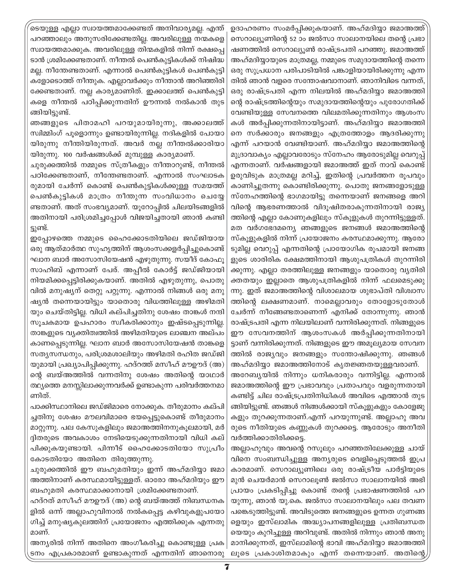ടെയുള്ള എല്ലാ സ്വായത്തമാക്കേണ്ടത് അനിവാര്യമല്ല. എന്ത് പറഞ്ഞാലും അനുസരിക്കേണ്ടതില്ല. അവരിലുള്ള നന്മകളെ സ്വായത്തമാക്കുക. അവരിലുള്ള തിന്മകളിൽ നിന്ന് രക്ഷപ്പെ ടാൻ ശ്രമിക്കേണ്ടതാണ്. നീന്തൽ പെൺകുട്ടികൾക്ക് നിഷിദ്ധ മല്ല. നീന്തേണ്ടതാണ്. എന്നാൽ പെൺകുട്ടികൾ പെൺകുട്ടി കളോടൊത്ത് നീന്തുക. എല്ലാവർക്കും നീന്താൻ അറിഞ്ഞിരി ക്കേണ്ടതാണ്. നല്ല കാര്യമാണിത്. ഇക്കാലത്ത് പെൺകുട്ടി കളെ നീന്തൽ പഠിപ്പിക്കുന്നതിന് ഊന്നൽ നൽകാൻ തുട ങ്ങിയിട്ടുണ്ട്.

ഞങ്ങളുടെ പിതാമഹി പറയുമായിരുന്നു, അക്കാലത്ത് സ്വിമ്മിംഗ് പൂളൊന്നും ഉണ്ടായിരുന്നില്ല. നദികളിൽ പോയാ യിരുന്നു നീന്തിയിരുന്നത്. അവർ നല്ല നീന്തൽക്കാരിയാ യിരുന്നു. 100 വർഷങ്ങൾക്ക് മുമ്പുള്ള കാര്യമാണ്.

ചുരുക്കത്തിൽ നമ്മുടെ സ്ത്രീകളും നീന്താറുണ്ട്, നീന്തൽ പഠിക്കേണ്ടതാണ്, നീന്തേണ്ടതാണ്. എന്നാൽ സംഘാടക രുമായി ചേർന്ന് കൊണ്ട് പെൺകുട്ടികൾക്കുള്ള സമയത്ത് പെൺകുട്ടികൾ മാത്രം നീന്തുന്ന സംവിധാനം ചെയ്യേ ണ്ടതാണ്. അത് സംഭവ്യമാണ്. യൂറോപ്പിൽ ചിലയിടങ്ങളിൽ അതിനായി പരിശ്രമിച്ചപ്പോൾ വിജയിച്ചതായി ഞാൻ കണ്ടി ട്ടുണ്ട്.

ഇപ്പോഴത്തെ നമ്മുടെ ഹൈക്കോടതിയിലെ ജഡ്ജിയായ ഒരു ആത്മാർത്ഥ സുഹൃത്തിന് ആശംസക്കളർപ്പിച്ചുകൊണ്ട് ഘാന ബാർ അസോസിയേഷൻ എഴുതുന്നു. സയീദ് കോഫു സാഹിബ് എന്നാണ് പേര്. അപ്പീൽ കോർട്ട് ജഡ്ജിയായി നിയമിക്കപ്പെട്ടിരിക്കുകയാണ്. അതിൽ എഴുതുന്നു, പൊതു വിൽ മനുഷ്യന് തെറ്റു പറ്റുന്നു. എന്നാൽ നിങ്ങൾ ഒരു മനു ഷ്യൻ തന്നെയായിട്ടും യാതൊരു വിധത്തിലുള്ള അഴിമതി യും ചെയ്തിട്ടില്ല. വിധി കല്പിച്ചതിനു ശേഷം താങ്കൾ നന്ദി സൂചകമായ ഉപഹാരം സ്വീകരിക്കാനും ഇഷ്ടപ്പെടുന്നില്ല. താങ്കളുടെ വ്യക്തിത്വത്തിൽ അഴിമതിയുടെ ലാഞ്ചന അല്പം കാണപ്പെടുന്നില്ല. ഘാന ബാർ അസോസിയേഷൻ താങ്കളെ സത്യസന്ധനും, പരിശ്രമശാലിയും അഴിമതി രഹിത ജഡ്ജി യുമായി പ്രഖ്യാപിപ്പിക്കുന്നു. ഹദ്റത്ത് മസീഹ് മൗഊദ് (അ) ന്റെ ബയ്അത്തിൽ വന്നതിനു ശേഷം അതിന്റെ യാഥാർ ത്ഥ്യത്തെ മനസ്സിലാക്കുന്നവർക്ക് ഉണ്ടാകുന്ന പരിവർത്തനമാ ണിത്.

പാക്കിസ്ഥാനിലെ ജഡ്ജിമാരെ നോക്കുക. തീരുമാനം കല്പി ച്ചതിനു ശേഷം മൗലവിമാരെ ഭയപ്പെട്ടുകൊണ്ട് തീരുമാനം മാറ്റുന്നു. പല കേസുകളിലും ജമാഅത്തിനനുകൂലമായി, മർ ദ്ദിതരുടെ അവകാശം നേടിയെടുക്കുന്നതിനായി വിധി കല് പിക്കുകയുണ്ടായി. പിന്നീട് ഹൈക്കോടതിയോ സുപ്രീം കോടതിയോ അതിനെ തിരുത്തുന്നു.

ചുരുക്കത്തിൽ ഈ ബഹുമതിയും ഇന്ന് അഹ്മദിയാ ജമാ അത്തിനാണ് കരസ്ഥമായിട്ടുള്ളത്. ഓരോ അഹ്മദിയും ഈ ബഹുമതി കരസ്ഥമാക്കാനായി ശ്രമിക്കേണ്ടതാണ്.

ഹദ്റത് മസീഹ് മൗഊദ് (അ) ന്റെ ബയ്അത്ത് നിബന്ധനക ളിൽ ഒന്ന് അല്ലാഹുവിനാൽ നൽകപ്പെട്ട കഴിവുകളുപയോ ഗിച്ച് മനുഷ്യകുലത്തിന് പ്രയോജനം എത്തിക്കുക എന്നതു മാണ്.

അന്യരിൽ നിന്ന് അതിനെ അംഗീകരിച്ചു കൊണ്ടുള്ള പ്രക ടനം എപ്രകാരമാണ് ഉണ്ടാകുന്നത് എന്നതിന് ഞാനൊരു

ഉദാഹരണം സംമർപ്പിക്കുകയാണ്. അഹ്മദിയ്യാ ജമാഅത്ത് സെറാല്യൂണിന്റെ 52 ാം ജൽസാ സാലാനയിലെ തന്റെ പ്രഭാ ഷണത്തിൽ സെറാല്യൂൺ രാഷ്ട്രപതി പറഞ്ഞു. ജമാഅത്ത് അഹ്മദിയ്യായുടെ മാത്രമല്ല, നമ്മുടെ സമുദായത്തിന്റെ തന്നെ ഒരു സുപ്രധാന പരിപാടിയിൽ പങ്കാളിയായിരിക്കുന്നു എന്ന തിൽ ഞാൻ വളരെ സന്തോഷവാനാണ്. ഞാനിവിടെ വന്നത്, ഒരു രാഷ്ട്രപതി എന്ന നിലയിൽ അഹ്മദിയ്യാ ജമാഅത്തി ന്റെ രാഷ്ട്രത്തിന്റെയും സമുദായത്തിന്റെയും പുരോഗതിക്ക് വേണ്ടിയുള്ള സേവനത്തെ വിലമതിക്കുന്നതിനും ആശംസ കൾ അർപ്പിക്കുന്നതിനായിട്ടാണ്. അഹ്മദിയ്യാ ജമാഅത്തി നെ സർക്കാരും ജനങ്ങളും എത്രത്തോളം ആദരിക്കുന്നു എന്ന് പറയാൻ വേണ്ടിയാണ്. അഹ്മദിയ്യാ ജമാഅത്തിന്റെ മുദ്രാവാക്യം എല്ലാവരോടും സ്നേഹം ആരോടുമില്ല വെറുപ്പ് എന്നതാണ്. വർഷങ്ങളായി ജമാഅത്ത് ഇത് നാവ് കൊണ്ട് ഉരുവിടുക മാത്രമല്ല മറിച്ച്, ഇതിന്റെ പ്രവർത്തന രൂപവും കാണിച്ചുതന്നു കൊണ്ടിരിക്കുന്നു. പൊതു ജനങ്ങളോടുള്ള സ്നേഹത്തിന്റെ ഭാഗമായിട്ടു തന്നെയാണ് ജനങ്ങളെ അറി വിന്റെ ആഭരണത്താൽ വിദുഷിതരാകുന്നതിനായി രാജ്യ ത്തിന്റെ എല്ലാ കോണുകളിലും സ്കൂളുകൾ തുറന്നിട്ടുള്ളത്. മത വർഗഭേദമന്യെ ഞങ്ങളുടെ ജനങ്ങൾ ജമാഅത്തിന്റെ സ്കൂളുകളിൽ നിന്ന് പ്രയോജനം കരസ്ഥമാക്കുന്നു. ആരോ ടുമില്ല വെറുപ്പ് എന്നതിന്റെ പ്രായോഗിക രൂപമായി ജനങ്ങ ളുടെ ശാരിരിക ക്ഷേമത്തിനായി ആശുപത്രികൾ തുറന്നിരി ക്കുന്നു. എല്ലാ തരത്തിലുള്ള ജനങ്ങളും യാതൊരു വ്യതിരി ക്തതയും ഇല്ലാതെ ആശുപത്രികളിൽ നിന്ന് ഫലമെടുക്കു ന്നു. ഇത് ജമാഅത്തിന്റെ വിശാലമായ ശുഭാപ്തി വിശ്വാസ ത്തിന്റെ ലക്ഷണമാണ്. നാമെല്ലാവരും തോളോടുതോൾ ചേർന്ന് നീങ്ങേണ്ടതാണെന്ന് എനിക്ക് തോന്നുന്നു. ഞാൻ രാഷ്ട്രപതി എന്ന നിലയിലാണ് വന്നിരിക്കുന്നത്. നിങ്ങളുടെ ഈ സേവനത്തിന് ആശംസകൾ അർപ്പിക്കുന്നതിനായി ട്ടാണ് വന്നിരിക്കുന്നത്. നിങ്ങളുടെ ഈ അമൂല്യമായ സേവന ത്തിൽ രാജ്യവും ജനങ്ങളും സന്തോഷിക്കുന്നു. ഞങ്ങൾ

അഹ്മദിയ്യാ ജമാഅത്തിനോട് കൃതജ്ഞതയുള്ളവരാണ്. അറേബ്യയിൽ നിന്നും ധനികരാരും വന്നിട്ടില്ല. എന്നാൽ ജമാഅത്തിന്റെ ഈ പ്രഭാവവും പ്രതാപവും വളരുന്നതായി കണ്ടിട്ട് ചില രാഷ്ട്രപ്രതിനിധികൾ അവിടെ എത്താൻ തുട ങ്ങിയിട്ടുണ്ട്. ഞങ്ങൾ നിങ്ങൾക്കായി സ്കൂളുകളും കോളേജു കളും തുറക്കുന്നതാണ്.എന്ന് പറയുന്നുണ്ട്. അല്ലാഹു അവ രുടെ നീതിയുടെ കണ്ണുകൾ തുറക്കട്ടെ. ആരോടും അനീതി വർത്തിക്കാതിരിക്കടെ.

അല്ലാഹുവും അവന്റെ റസൂലും പറഞ്ഞതിലേക്കുള്ള ചായ് വിനെ സംബന്ധിച്ചുള്ള അന്യരുടെ വെളിപ്പെടുത്തൽ ഇപ്ര കാരമാണ്. സെറാല്യുണിലെ ഒരു രാഷ്ട്രീയ പാർട്ടിയുടെ മുൻ ചെയർമാൻ സെറാലൂൺ ജൽസാ സാലാനയിൽ അഭി പ്രായം പ്രകടിപ്പിച്ചു കൊണ്ട് തന്റെ പ്രഭാഷണത്തിൽ പറ യുന്നു, ഞാൻ യു.കെ. ജൽസാ സാലാനയിലും പല തവണ പങ്കെടുത്തിട്ടുണ്ട്. അവിടുത്തെ ജനങ്ങളുടെ ഉന്നത ഗുണങ്ങ ളെയും ഇസ്ലാമിക അദ്ധ്യാപനങ്ങളിലുള്ള പ്രതിബന്ധത യെയും കുറിച്ചുള്ള അറിവുണ്ട്. അതിൽ നിന്നും ഞാൻ അനു മാനിക്കുന്നത്, ഇസ്ലാമിന്റെ ഭാവി അഹ്മദിയ്യാ ജമാഅത്തി ലൂടെ പ്രകാശിതമാകും എന്ന് തന്നെയാണ്. അതിന്റെ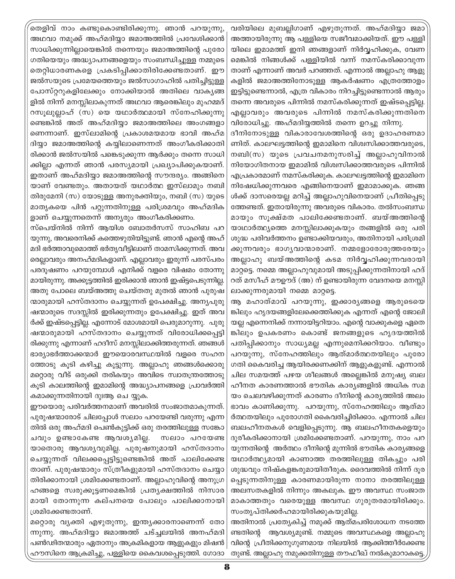തെളിവ് നാം കണ്ടുകൊണ്ടിരിക്കുന്നു. ഞാൻ പറയുന്നു, അഥവാ നമുക്ക് അഹ്മദിയ്യാ ജമാഅത്തിൽ പ്രവേശിക്കാൻ സാധിക്കുന്നില്ലായെങ്കിൽ തന്നെയും ജമാഅത്തിന്റെ പുരോ ഗതിയെയും അദ്ധ്യാപനങ്ങളെയും സംബന്ധിച്ചുള്ള നമ്മുടെ തെറ്റിധാരണകളെ പ്രകടിപ്പിക്കാതിരിക്കേണ്ടതാണ്. ഈ ജൽസയുടെ പ്രമേയത്തെയും ജൽസാഗാഹിൽ പതിച്ചിട്ടുള്ള പോസ്റ്ററുകളിലേക്കും നോക്കിയാൽ അതിലെ വാകൃങ്ങ ളിൽ നിന്ന് മനസ്സിലാകുന്നത് അഥവാ ആരെങ്കിലും മുഹമ്മദ് റസുലുല്ലാഹ് (സ) യെ യഥാർത്ഥമായി സ്നേഹിക്കുന്നു ണ്ടെങ്കിൽ അത് അഹ്മദിയ്യാ ജമാഅത്തിലെ അംഗങ്ങളാ ണെന്നാണ്. ഇസ്ലാമിന്റെ പ്രകാശമയമായ ഭാവി അഹ്മ ദിയ്യാ ജമാഅത്തിന്റെ കയ്യിലാണെന്നത് അംഗീകരിക്കാതി രിക്കാൻ ജൽസയിൽ പങ്കെടുക്കുന്ന ആർക്കും തന്നെ സാധി ക്കില്ലാ എന്നത് ഞാൻ പരസ്യമായി പ്രഖ്യാപിക്കുകയാണ്. ഇതാണ് അഹ്മദിയ്യാ ജമാഅത്തിന്റെ സൗന്ദര്യം. അങ്ങിനെ യാണ് വേണ്ടതും. അതായത് യഥാർത്ഥ ഇസ്ലാമും നബി തിരുമേനി (സ) യോടുള്ള അനുരക്തിയും, നബി (സ) യുടെ മാതൃകയെ പിൻ പറ്റുന്നതിനുള്ള പരിശ്രമവും അഹ്മദിക ളാണ് ചെയ്യുന്നതെന്ന് അന്യരും അംഗീകരിക്കണം.

സ്പെയ്നിൽ നിന്ന് ആയിശ ബോതർസസ് സാഹിബ പറ യുന്നു, അവരെനിക്ക് കത്തെഴുതിയിട്ടുണ്ട്. ഞാൻ എന്റെ അഹ് മദി ഭർത്താവുമൊത്ത് ഭർതൃവീട്ടിലാണ് താമസിക്കുന്നത്. അവ രെല്ലാവരും അനഹ്മദികളാണ്. എല്ലാവരും ഇരുന്ന് പരസ്പരം പരദൂഷണം പറയുമ്പോൾ എനിക്ക് വളരെ വിഷമം തോന്നു മായിരുന്നു. അക്കുട്ടത്തിൽ ഇരിക്കാൻ ഞാൻ ഇഷ്ട്ടപെടുന്നില്ല. അതു പോലെ ബയ്അത്തു ചെയ്തതു മുതൽ ഞാൻ പുരുഷ ന്മാരുമായി ഹസ്തദാനം ചെയ്യുന്നത് ഉപേക്ഷിച്ചു. അന്യപുരു ഷന്മാരുടെ സദസ്സിൽ ഇരിക്കുന്നതും ഉപേക്ഷിച്ചു. ഇത് അവ ർക്ക് ഇഷ്ടപ്പെട്ടില്ല. എന്നോട് മോശമായി പെരുമാറുന്നു. പുരു ഷന്മാരുമായി ഹസ്തദാനം ചെയ്യുന്നത് വിരോധിക്കപ്പെട്ടി രിക്കുന്നു എന്നാണ് ഹദീസ് മനസ്സിലാക്കിത്തരുന്നത്. ഞങ്ങൾ ഭാര്യാഭർത്താക്കന്മാർ ഈയൊരവസ്ഥയിൽ വളരെ സഹന ത്തോടു കൂടി കഴിച്ചു കൂട്ടുന്നു. അല്ലാഹു ഞങ്ങൾക്കൊരു മറ്റൊരു വീട് ഒരുക്കി തരികയും അവിടെ സ്വാതന്ത്രത്തോടു കൂടി കാലത്തിന്റെ ഇമാമിന്റെ അദ്ധ്യാപനങ്ങളെ പ്രാവർത്തി കമാക്കുന്നതിനായി ദുഃആ ചെ യ്യുക.

ഈയൊരു പരിവർത്തനമാണ് അവരിൽ സംജാതമാകുന്നത്. പുരുഷന്മാരോട് ചിലപ്പോൾ സലാം പറയേണ്ടി വരുന്നു എന്ന തിൽ ഒരു അഹ്മദി പെൺകുട്ടിക്ക് ഒരു തരത്തിലുള്ള സങ്കോ ചവും ഉണ്ടാകേണ്ട ആവശ്യമില്ല. സലാം പറയേണ്ട യാതൊരു ആവശ്യവുമില്ല. പുരുഷനുമായി ഹസ്തദാനം ചെയ്യുന്നത് വിലക്കപ്പെട്ടിട്ടുണ്ടെങ്കിൽ അത് പാലിക്കേണ്ട താണ്. പുരുഷന്മാരും സ്ത്രീകളുമായി ഹസ്തദാനം ചെയ്യാ തിരിക്കാനായി ശ്രമിക്കേണ്ടതാണ്. അല്ലാഹുവിന്റെ അനുഗ്ര ഹങ്ങളെ സ്വരുക്കൂട്ടണമെങ്കിൽ പ്രത്യക്ഷത്തിൽ നിസാര മായി തോന്നുന്ന കല്പനയെ പോലും പാലിക്കാനായി ശ്രമിക്കേണ്ടതാണ്.

മറ്റൊരു വ്യക്തി എഴുതുന്നു, ഇന്ത്യക്കാരനാണെന്ന് തോ ന്നുന്നു. അഹ്മദിയ്യാ ജമാഅത്ത് ചട്ച്ചലയിൽ അനഹ്മദി പൺഢിതന്മാരും ഏതാനും അക്രമികളായ ആളുകളും മിഷൻ ഹൗസിനെ ആക്രമിച്ചു, പള്ളിയെ കൈവശപ്പെടുത്തി. ഗോദാ

വരിയിലെ മുബല്ലിഗാണ് എഴുതുന്നത്. അഹ്മദിയ്യാ ജമാ അത്തായിരുന്നു ആ പള്ളിയെ സജീവമാക്കിയത്. ഈ പള്ളി യിലെ ഇമാമത്ത് ഇനി ഞങ്ങളാണ് നിർവ്വഹിക്കുക, വേണ മെങ്കിൽ നിങ്ങൾക്ക് പള്ളിയിൽ വന്ന് നമസ്കരിക്കാവുന്ന താണ് എന്നാണ് അവർ പറഞ്ഞത്. എന്നാൽ അല്ലാഹു ആളു കളിൽ ജമാഅത്തിനോടുള്ള ആകർഷണം എത്രത്തോളം ഇട്ടിട്ടുണ്ടെന്നാൽ, എത്ര വികാരം നിറച്ചിട്ടുണ്ടെന്നാൽ ആരും തന്നെ അവരുടെ പിന്നിൽ നമസ്കരിക്കുന്നത് ഇഷ്ടപ്പെട്ടില്ല. എല്ലാവരും അവരുടെ പിന്നിൽ നമസ്കരിക്കുന്നതിനെ വിരോധിച്ചു. അഹ്മദിയ്യത്തിൽ തന്നെ ഉറച്ചു നിന്നു.

ദീനിനോടുള്ള വികാരാവേശത്തിന്റെ ഒരു ഉദാഹരണമാ ണിത്. കാലഘട്ടത്തിന്റെ ഇമാമിനെ വിശ്വസിക്കാത്തവരുടെ, നബി(സ) യുടെ പ്രവചനമനുസരിച്ച് അല്ലാഹുവിനാൽ നിയോഗിതനായ ഇമാമിൽ വിശ്വസിക്കാത്തവരുടെ പിന്നിൽ എപ്രകാരമാണ് നമസ്കരിക്കുക. കാലഘട്ടത്തിന്റെ ഇമാമിനെ നിഷേധിക്കുന്നവരെ എങ്ങിനെയാണ് ഇമാമാക്കുക. ഞങ്ങ ൾക്ക് ദാസരെയല്ല മറിച്ച് അല്ലാഹുവിനെയാണ് പ്രീതിപ്പെടു ത്തേണ്ടത്. ഇതായിരുന്നു അവരുടെ വികാരം. തൽസംബന്ധ മായും സൂക്ഷ്മത പാലിക്കേണ്ടതാണ്. ബയ്അത്തിന്റെ യാഥാർത്ഥ്യത്തെ മനസ്സിലാക്കുകയും തങ്ങളിൽ ഒരു പരി ശുദ്ധ പരിവർത്തനം ഉണ്ടാക്കിയവരും, അതിനായി പരിശ്രമി ക്കുന്നവരും ഭാഗൃവാന്മാരാണ്. നമ്മളോരോരുത്തരേയും അല്ലാഹു ബയ്അത്തിന്റെ കടമ നിർവ്വഹിക്കുന്നവരായി മാറ്റട്ടെ. നമ്മെ അല്ലാഹുവുമായി അടുപ്പിക്കുന്നതിനായി ഹദ് റത് മസീഹ് മൗഊദ് (അ) ന് ഉണ്ടായിരുന്ന വേദനയെ മനസ്സി ലാക്കുന്നരുമായി നമ്മെ മാറ്റട്ടെ.

ആ മഹാത്മാവ് പറയുന്നു, ഇക്കാരൃങ്ങളെ ആരുടെയെ ങ്കിലും ഹൃദയങ്ങളിലേക്കെത്തിക്കുക എന്നത് എന്റെ ജോലി യല്ല എന്നെനിക്ക് നന്നായിട്ടറിയാം. എന്റെ വാക്കുകളെ ഏതെ ങ്കിലും ഉപകരണം കൊണ്ട് ജനങ്ങളുടെ ഹൃദയത്തിൽ പതിപ്പിക്കാനും സാധ്യമല്ല എന്നുമെനിക്കറിയാം. വീണ്ടും പറയുന്നു, സ്നേഹത്തിലും ആത്മാർത്ഥതയിലും പുരോ ഗതി കൈവരിച്ച ആയിരക്കണക്കിന് ആളുകളുണ്ട്. എന്നാൽ ചില സമയത്ത് പഴയ ശീലങ്ങൾ അല്ലെങ്കിൽ മനുഷ്യ ബല ഹീനത കാരണത്താൽ ഭൗതിക കാര്യങ്ങളിൽ അധിക സമ യം ചെലവഴിക്കുന്നത് കാരണം ദീനിന്റെ കാര്യത്തിൽ അലം ഭാവം കാണിക്കുന്നു. പറയുന്നു, സ്നേഹത്തിലും ആത്മാ ർത്ഥതയിലും പുരോഗതി കൈവരിച്ചിരിക്കാം. എന്നാൽ ചില ബലഹീനതകൾ വെളിപ്പെടുന്നു. ആ ബലഹീനതകളെയും ദുരീകരിക്കാനായി ശ്രമിക്കേണ്ടതാണ്. പറയുന്നു, നാം പറ യുന്നതിന്റെ അർത്ഥം ദീനിന്റെ മുന്നിൽ ഭൗതിക കാര്യങ്ങളെ യഥാർത്ഥ്യമായി കാണാത്ത തരത്തിലുള്ള തികച്ചും പരി ശുദ്ധവും നിഷ്കളങ്കരുമായിതീരുക. ദൈവത്തിൽ നിന്ന് ദുര പ്പെടുന്നതിനുള്ള കാരണമായിരുന്ന നാനാ തരത്തിലുള്ള അലസതകളിൽ നിന്നും അകലുക. ഈ അവസ്ഥ സംജാത മാകാത്തതും വരെയുള്ള അവസ്ഥ ഗുരുതരമായിരിക്കും. സംതൃപ്തിക്കർഹമായിരിക്കുകയുമില്ല.

അതിനാൽ പ്രത്യേകിച്ച് നമുക്ക് ആത്മപരിശോധന നടത്തേ ണ്ടതിന്റെ ആവശ്യമുണ്ട്. നമ്മുടെ അവസ്ഥകളെ അല്ലാഹു വിന്റെ പ്രീതിക്കനുഗുണമായ നിലയിൽ ആക്കിത്തീർക്കേണ്ട തുണ്ട്. അല്ലാഹു നമുക്കതിനുള്ള തൗഫീഖ് നൽകുമാറാകട്ടെ